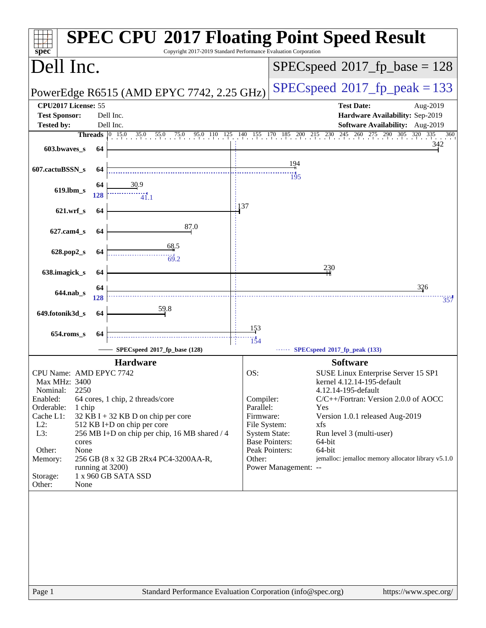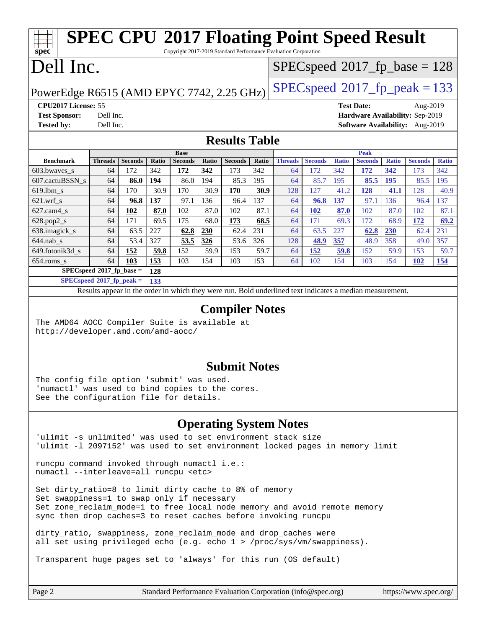### **[spec](http://www.spec.org/) [SPEC CPU](http://www.spec.org/auto/cpu2017/Docs/result-fields.html#SPECCPU2017FloatingPointSpeedResult)[2017 Floating Point Speed Result](http://www.spec.org/auto/cpu2017/Docs/result-fields.html#SPECCPU2017FloatingPointSpeedResult)** Copyright 2017-2019 Standard Performance Evaluation Corporation Dell Inc. PowerEdge R6515 (AMD EPYC 7742, 2.25 GHz)  $\left|$  [SPECspeed](http://www.spec.org/auto/cpu2017/Docs/result-fields.html#SPECspeed2017fppeak)<sup>®</sup>[2017\\_fp\\_peak = 1](http://www.spec.org/auto/cpu2017/Docs/result-fields.html#SPECspeed2017fppeak)33 [SPECspeed](http://www.spec.org/auto/cpu2017/Docs/result-fields.html#SPECspeed2017fpbase)<sup>®</sup>2017 fp base = 128 **[CPU2017 License:](http://www.spec.org/auto/cpu2017/Docs/result-fields.html#CPU2017License)** 55 **[Test Date:](http://www.spec.org/auto/cpu2017/Docs/result-fields.html#TestDate)** Aug-2019 **[Test Sponsor:](http://www.spec.org/auto/cpu2017/Docs/result-fields.html#TestSponsor)** Dell Inc. **[Hardware Availability:](http://www.spec.org/auto/cpu2017/Docs/result-fields.html#HardwareAvailability)** Sep-2019 **[Tested by:](http://www.spec.org/auto/cpu2017/Docs/result-fields.html#Testedby)** Dell Inc. **[Software Availability:](http://www.spec.org/auto/cpu2017/Docs/result-fields.html#SoftwareAvailability)** Aug-2019 **[Results Table](http://www.spec.org/auto/cpu2017/Docs/result-fields.html#ResultsTable) [Benchmark](http://www.spec.org/auto/cpu2017/Docs/result-fields.html#Benchmark) [Threads](http://www.spec.org/auto/cpu2017/Docs/result-fields.html#Threads) [Seconds](http://www.spec.org/auto/cpu2017/Docs/result-fields.html#Seconds) [Ratio](http://www.spec.org/auto/cpu2017/Docs/result-fields.html#Ratio) [Seconds](http://www.spec.org/auto/cpu2017/Docs/result-fields.html#Seconds) [Ratio](http://www.spec.org/auto/cpu2017/Docs/result-fields.html#Ratio) [Seconds](http://www.spec.org/auto/cpu2017/Docs/result-fields.html#Seconds) [Ratio](http://www.spec.org/auto/cpu2017/Docs/result-fields.html#Ratio) Base [Threads](http://www.spec.org/auto/cpu2017/Docs/result-fields.html#Threads) [Seconds](http://www.spec.org/auto/cpu2017/Docs/result-fields.html#Seconds) [Ratio](http://www.spec.org/auto/cpu2017/Docs/result-fields.html#Ratio) [Seconds](http://www.spec.org/auto/cpu2017/Docs/result-fields.html#Seconds) [Ratio](http://www.spec.org/auto/cpu2017/Docs/result-fields.html#Ratio) [Seconds](http://www.spec.org/auto/cpu2017/Docs/result-fields.html#Seconds) [Ratio](http://www.spec.org/auto/cpu2017/Docs/result-fields.html#Ratio) Peak** [603.bwaves\\_s](http://www.spec.org/auto/cpu2017/Docs/benchmarks/603.bwaves_s.html) 64 172 342 **[172](http://www.spec.org/auto/cpu2017/Docs/result-fields.html#Median) [342](http://www.spec.org/auto/cpu2017/Docs/result-fields.html#Median)** 173 342 64 172 342 **[172](http://www.spec.org/auto/cpu2017/Docs/result-fields.html#Median) [342](http://www.spec.org/auto/cpu2017/Docs/result-fields.html#Median)** 173 342 [607.cactuBSSN\\_s](http://www.spec.org/auto/cpu2017/Docs/benchmarks/607.cactuBSSN_s.html) 64 **[86.0](http://www.spec.org/auto/cpu2017/Docs/result-fields.html#Median) [194](http://www.spec.org/auto/cpu2017/Docs/result-fields.html#Median)** 86.0 194 85.3 195 64 85.7 195 **[85.5](http://www.spec.org/auto/cpu2017/Docs/result-fields.html#Median) [195](http://www.spec.org/auto/cpu2017/Docs/result-fields.html#Median)** 85.5 195 [619.lbm\\_s](http://www.spec.org/auto/cpu2017/Docs/benchmarks/619.lbm_s.html) 64 170 30.9 170 30.9 **[170](http://www.spec.org/auto/cpu2017/Docs/result-fields.html#Median) [30.9](http://www.spec.org/auto/cpu2017/Docs/result-fields.html#Median)** 128 127 41.2 **[128](http://www.spec.org/auto/cpu2017/Docs/result-fields.html#Median) [41.1](http://www.spec.org/auto/cpu2017/Docs/result-fields.html#Median)** 128 40.9 [621.wrf\\_s](http://www.spec.org/auto/cpu2017/Docs/benchmarks/621.wrf_s.html) 64 **[96.8](http://www.spec.org/auto/cpu2017/Docs/result-fields.html#Median) [137](http://www.spec.org/auto/cpu2017/Docs/result-fields.html#Median)** 97.1 136 96.4 137 64 **[96.8](http://www.spec.org/auto/cpu2017/Docs/result-fields.html#Median) [137](http://www.spec.org/auto/cpu2017/Docs/result-fields.html#Median)** 97.1 136 96.4 137 [627.cam4\\_s](http://www.spec.org/auto/cpu2017/Docs/benchmarks/627.cam4_s.html) 64 **[102](http://www.spec.org/auto/cpu2017/Docs/result-fields.html#Median) [87.0](http://www.spec.org/auto/cpu2017/Docs/result-fields.html#Median)** 102 87.0 102 87.1 64 **[102](http://www.spec.org/auto/cpu2017/Docs/result-fields.html#Median) [87.0](http://www.spec.org/auto/cpu2017/Docs/result-fields.html#Median)** 102 87.0 102 87.1 [628.pop2\\_s](http://www.spec.org/auto/cpu2017/Docs/benchmarks/628.pop2_s.html) 64 171 69.5 175 68.0 **[173](http://www.spec.org/auto/cpu2017/Docs/result-fields.html#Median) [68.5](http://www.spec.org/auto/cpu2017/Docs/result-fields.html#Median)** 64 171 69.3 172 68.9 **[172](http://www.spec.org/auto/cpu2017/Docs/result-fields.html#Median) [69.2](http://www.spec.org/auto/cpu2017/Docs/result-fields.html#Median)** [638.imagick\\_s](http://www.spec.org/auto/cpu2017/Docs/benchmarks/638.imagick_s.html) 64 63.5 227 **[62.8](http://www.spec.org/auto/cpu2017/Docs/result-fields.html#Median) [230](http://www.spec.org/auto/cpu2017/Docs/result-fields.html#Median)** 62.4 231 64 63.5 227 **[62.8](http://www.spec.org/auto/cpu2017/Docs/result-fields.html#Median) [230](http://www.spec.org/auto/cpu2017/Docs/result-fields.html#Median)** 62.4 231 [644.nab\\_s](http://www.spec.org/auto/cpu2017/Docs/benchmarks/644.nab_s.html) 64 53.4 327 **[53.5](http://www.spec.org/auto/cpu2017/Docs/result-fields.html#Median) [326](http://www.spec.org/auto/cpu2017/Docs/result-fields.html#Median)** 53.6 326 128 **[48.9](http://www.spec.org/auto/cpu2017/Docs/result-fields.html#Median) [357](http://www.spec.org/auto/cpu2017/Docs/result-fields.html#Median)** 48.9 358 49.0 357 [649.fotonik3d\\_s](http://www.spec.org/auto/cpu2017/Docs/benchmarks/649.fotonik3d_s.html) 64 **[152](http://www.spec.org/auto/cpu2017/Docs/result-fields.html#Median) [59.8](http://www.spec.org/auto/cpu2017/Docs/result-fields.html#Median)** 152 59.9 153 59.7 64 **[152](http://www.spec.org/auto/cpu2017/Docs/result-fields.html#Median) [59.8](http://www.spec.org/auto/cpu2017/Docs/result-fields.html#Median)** 152 59.9 153 59.7 [654.roms\\_s](http://www.spec.org/auto/cpu2017/Docs/benchmarks/654.roms_s.html) 64 **[103](http://www.spec.org/auto/cpu2017/Docs/result-fields.html#Median) [153](http://www.spec.org/auto/cpu2017/Docs/result-fields.html#Median)** 103 154 103 153 64 102 154 103 154 **[102](http://www.spec.org/auto/cpu2017/Docs/result-fields.html#Median) [154](http://www.spec.org/auto/cpu2017/Docs/result-fields.html#Median) [SPECspeed](http://www.spec.org/auto/cpu2017/Docs/result-fields.html#SPECspeed2017fpbase)[2017\\_fp\\_base =](http://www.spec.org/auto/cpu2017/Docs/result-fields.html#SPECspeed2017fpbase) 128 [SPECspeed](http://www.spec.org/auto/cpu2017/Docs/result-fields.html#SPECspeed2017fppeak)[2017\\_fp\\_peak =](http://www.spec.org/auto/cpu2017/Docs/result-fields.html#SPECspeed2017fppeak) 133** Results appear in the [order in which they were run.](http://www.spec.org/auto/cpu2017/Docs/result-fields.html#RunOrder) Bold underlined text [indicates a median measurement](http://www.spec.org/auto/cpu2017/Docs/result-fields.html#Median). **[Compiler Notes](http://www.spec.org/auto/cpu2017/Docs/result-fields.html#CompilerNotes)** The AMD64 AOCC Compiler Suite is available at <http://developer.amd.com/amd-aocc/>

### **[Submit Notes](http://www.spec.org/auto/cpu2017/Docs/result-fields.html#SubmitNotes)**

The config file option 'submit' was used. 'numactl' was used to bind copies to the cores. See the configuration file for details.

### **[Operating System Notes](http://www.spec.org/auto/cpu2017/Docs/result-fields.html#OperatingSystemNotes)**

'ulimit -s unlimited' was used to set environment stack size 'ulimit -l 2097152' was used to set environment locked pages in memory limit

runcpu command invoked through numactl i.e.: numactl --interleave=all runcpu <etc>

Set dirty\_ratio=8 to limit dirty cache to 8% of memory Set swappiness=1 to swap only if necessary Set zone\_reclaim\_mode=1 to free local node memory and avoid remote memory sync then drop\_caches=3 to reset caches before invoking runcpu

dirty ratio, swappiness, zone reclaim mode and drop caches were all set using privileged echo (e.g. echo 1 > /proc/sys/vm/swappiness).

Transparent huge pages set to 'always' for this run (OS default)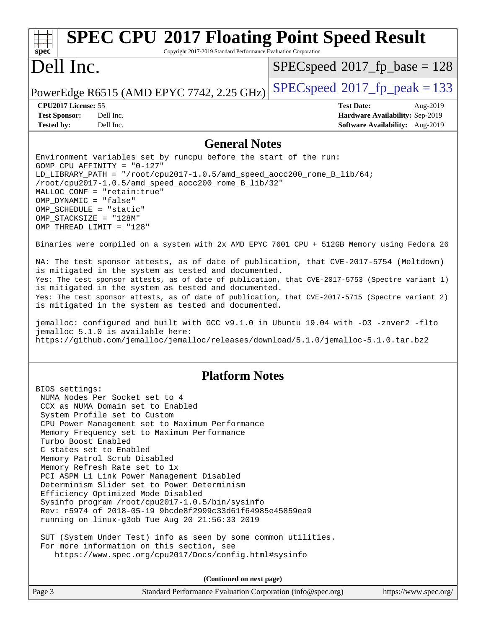### **[spec](http://www.spec.org/) [SPEC CPU](http://www.spec.org/auto/cpu2017/Docs/result-fields.html#SPECCPU2017FloatingPointSpeedResult)[2017 Floating Point Speed Result](http://www.spec.org/auto/cpu2017/Docs/result-fields.html#SPECCPU2017FloatingPointSpeedResult)** Copyright 2017-2019 Standard Performance Evaluation Corporation Dell Inc. PowerEdge R6515 (AMD EPYC 7742, 2.25 GHz)  $\left|$  [SPECspeed](http://www.spec.org/auto/cpu2017/Docs/result-fields.html#SPECspeed2017fppeak)<sup>®</sup>[2017\\_fp\\_peak = 1](http://www.spec.org/auto/cpu2017/Docs/result-fields.html#SPECspeed2017fppeak)33 [SPECspeed](http://www.spec.org/auto/cpu2017/Docs/result-fields.html#SPECspeed2017fpbase)<sup>®</sup>2017 fp base = 128 **[CPU2017 License:](http://www.spec.org/auto/cpu2017/Docs/result-fields.html#CPU2017License)** 55 **[Test Date:](http://www.spec.org/auto/cpu2017/Docs/result-fields.html#TestDate)** Aug-2019 **[Test Sponsor:](http://www.spec.org/auto/cpu2017/Docs/result-fields.html#TestSponsor)** Dell Inc. **[Hardware Availability:](http://www.spec.org/auto/cpu2017/Docs/result-fields.html#HardwareAvailability)** Sep-2019 **[Tested by:](http://www.spec.org/auto/cpu2017/Docs/result-fields.html#Testedby)** Dell Inc. **[Software Availability:](http://www.spec.org/auto/cpu2017/Docs/result-fields.html#SoftwareAvailability)** Aug-2019 **[General Notes](http://www.spec.org/auto/cpu2017/Docs/result-fields.html#GeneralNotes)** Environment variables set by runcpu before the start of the run: GOMP\_CPU\_AFFINITY = "0-127" LD\_LIBRARY\_PATH = "/root/cpu2017-1.0.5/amd\_speed\_aocc200\_rome\_B\_lib/64; /root/cpu2017-1.0.5/amd\_speed\_aocc200\_rome\_B\_lib/32" MALLOC\_CONF = "retain:true" OMP\_DYNAMIC = "false" OMP\_SCHEDULE = "static" OMP\_STACKSIZE = "128M" OMP\_THREAD\_LIMIT = "128" Binaries were compiled on a system with 2x AMD EPYC 7601 CPU + 512GB Memory using Fedora 26 NA: The test sponsor attests, as of date of publication, that CVE-2017-5754 (Meltdown) is mitigated in the system as tested and documented. Yes: The test sponsor attests, as of date of publication, that CVE-2017-5753 (Spectre variant 1) is mitigated in the system as tested and documented. Yes: The test sponsor attests, as of date of publication, that CVE-2017-5715 (Spectre variant 2) is mitigated in the system as tested and documented. jemalloc: configured and built with GCC v9.1.0 in Ubuntu 19.04 with -O3 -znver2 -flto jemalloc 5.1.0 is available here: <https://github.com/jemalloc/jemalloc/releases/download/5.1.0/jemalloc-5.1.0.tar.bz2> **[Platform Notes](http://www.spec.org/auto/cpu2017/Docs/result-fields.html#PlatformNotes)** BIOS settings: NUMA Nodes Per Socket set to 4 CCX as NUMA Domain set to Enabled System Profile set to Custom CPU Power Management set to Maximum Performance Memory Frequency set to Maximum Performance Turbo Boost Enabled C states set to Enabled Memory Patrol Scrub Disabled Memory Refresh Rate set to 1x PCI ASPM L1 Link Power Management Disabled Determinism Slider set to Power Determinism Efficiency Optimized Mode Disabled Sysinfo program /root/cpu2017-1.0.5/bin/sysinfo Rev: r5974 of 2018-05-19 9bcde8f2999c33d61f64985e45859ea9 running on linux-g3ob Tue Aug 20 21:56:33 2019 SUT (System Under Test) info as seen by some common utilities. For more information on this section, see <https://www.spec.org/cpu2017/Docs/config.html#sysinfo> **(Continued on next page)**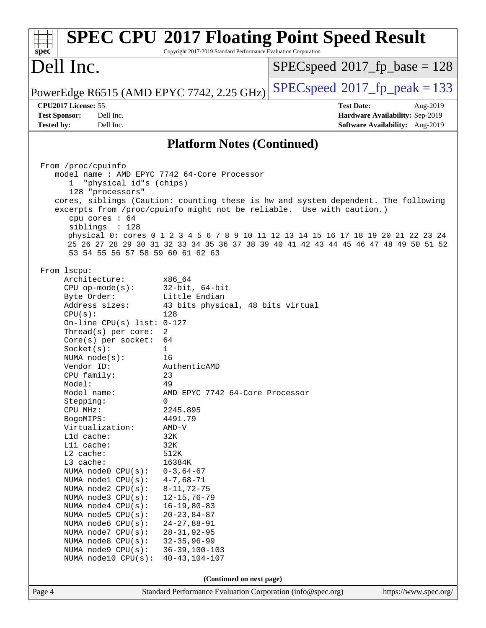| spec                                                                                                                                                                                                                                                                                                                                                                                                                                                                                                                                                                                                                                | Copyright 2017-2019 Standard Performance Evaluation Corporation                                                                                                                                                                                                                                                                                                                                                                                                                                                   | <b>SPEC CPU®2017 Floating Point Speed Result</b>                                                                                                                                                                                                                                                                                         |  |  |  |  |
|-------------------------------------------------------------------------------------------------------------------------------------------------------------------------------------------------------------------------------------------------------------------------------------------------------------------------------------------------------------------------------------------------------------------------------------------------------------------------------------------------------------------------------------------------------------------------------------------------------------------------------------|-------------------------------------------------------------------------------------------------------------------------------------------------------------------------------------------------------------------------------------------------------------------------------------------------------------------------------------------------------------------------------------------------------------------------------------------------------------------------------------------------------------------|------------------------------------------------------------------------------------------------------------------------------------------------------------------------------------------------------------------------------------------------------------------------------------------------------------------------------------------|--|--|--|--|
| Dell Inc.                                                                                                                                                                                                                                                                                                                                                                                                                                                                                                                                                                                                                           |                                                                                                                                                                                                                                                                                                                                                                                                                                                                                                                   | $SPEC speed^{\circ}2017$ fp base = 128                                                                                                                                                                                                                                                                                                   |  |  |  |  |
| PowerEdge R6515 (AMD EPYC 7742, 2.25 GHz)                                                                                                                                                                                                                                                                                                                                                                                                                                                                                                                                                                                           |                                                                                                                                                                                                                                                                                                                                                                                                                                                                                                                   | $SPEC speed^{\circ}2017$ _fp_peak = 133                                                                                                                                                                                                                                                                                                  |  |  |  |  |
| CPU2017 License: 55<br>Dell Inc.<br><b>Test Sponsor:</b><br>Dell Inc.<br><b>Tested by:</b>                                                                                                                                                                                                                                                                                                                                                                                                                                                                                                                                          |                                                                                                                                                                                                                                                                                                                                                                                                                                                                                                                   | <b>Test Date:</b><br>Aug-2019<br>Hardware Availability: Sep-2019<br>Software Availability: Aug-2019                                                                                                                                                                                                                                      |  |  |  |  |
|                                                                                                                                                                                                                                                                                                                                                                                                                                                                                                                                                                                                                                     | <b>Platform Notes (Continued)</b>                                                                                                                                                                                                                                                                                                                                                                                                                                                                                 |                                                                                                                                                                                                                                                                                                                                          |  |  |  |  |
| From /proc/cpuinfo<br>model name: AMD EPYC 7742 64-Core Processor<br>"physical id"s (chips)<br>128 "processors"<br>cpu cores : 64<br>siblings : 128<br>53 54 55 56 57 58 59 60 61 62 63<br>From 1scpu:                                                                                                                                                                                                                                                                                                                                                                                                                              |                                                                                                                                                                                                                                                                                                                                                                                                                                                                                                                   | cores, siblings (Caution: counting these is hw and system dependent. The following<br>excerpts from /proc/cpuinfo might not be reliable. Use with caution.)<br>physical 0: cores 0 1 2 3 4 5 6 7 8 9 10 11 12 13 14 15 16 17 18 19 20 21 22 23 24<br>25 26 27 28 29 30 31 32 33 34 35 36 37 38 39 40 41 42 43 44 45 46 47 48 49 50 51 52 |  |  |  |  |
| Architecture:<br>$CPU$ op-mode( $s$ ):<br>Byte Order:<br>Address sizes:<br>CPU(s):<br>On-line CPU(s) list: $0-127$<br>Thread(s) per core:<br>$Core(s)$ per socket:<br>Socket(s):<br>NUMA $node(s):$<br>Vendor ID:<br>CPU family:<br>Model:<br>Model name:<br>Stepping:<br>CPU MHz:<br>BogoMIPS:<br>Virtualization:<br>L1d cache:<br>Lli cache:<br>L2 cache:<br>L3 cache:<br>NUMA node0 CPU(s):<br>NUMA nodel CPU(s):<br>NUMA $node2$ $CPU(s):$<br>NUMA node3 CPU(s):<br>NUMA node4 CPU(s):<br>NUMA node5 CPU(s):<br>NUMA $node6$ $CPU(s):$<br>NUMA node7 CPU(s):<br>NUMA node8 CPU(s):<br>NUMA node9 CPU(s):<br>NUMA node10 CPU(s): | x86 64<br>$32$ -bit, $64$ -bit<br>Little Endian<br>43 bits physical, 48 bits virtual<br>128<br>2<br>64<br>$\mathbf{1}$<br>16<br>AuthenticAMD<br>23<br>49<br>AMD EPYC 7742 64-Core Processor<br>0<br>2245.895<br>4491.79<br>$AMD-V$<br>32K<br>32K<br>512K<br>16384K<br>$0 - 3, 64 - 67$<br>$4 - 7,68 - 71$<br>$8 - 11, 72 - 75$<br>$12 - 15, 76 - 79$<br>$16 - 19, 80 - 83$<br>$20 - 23, 84 - 87$<br>$24 - 27,88 - 91$<br>$28 - 31, 92 - 95$<br>$32 - 35, 96 - 99$<br>$36 - 39, 100 - 103$<br>$40 - 43, 104 - 107$ |                                                                                                                                                                                                                                                                                                                                          |  |  |  |  |
| (Continued on next page)<br>Standard Performance Evaluation Corporation (info@spec.org)                                                                                                                                                                                                                                                                                                                                                                                                                                                                                                                                             |                                                                                                                                                                                                                                                                                                                                                                                                                                                                                                                   |                                                                                                                                                                                                                                                                                                                                          |  |  |  |  |
| Page 4                                                                                                                                                                                                                                                                                                                                                                                                                                                                                                                                                                                                                              |                                                                                                                                                                                                                                                                                                                                                                                                                                                                                                                   | https://www.spec.org/                                                                                                                                                                                                                                                                                                                    |  |  |  |  |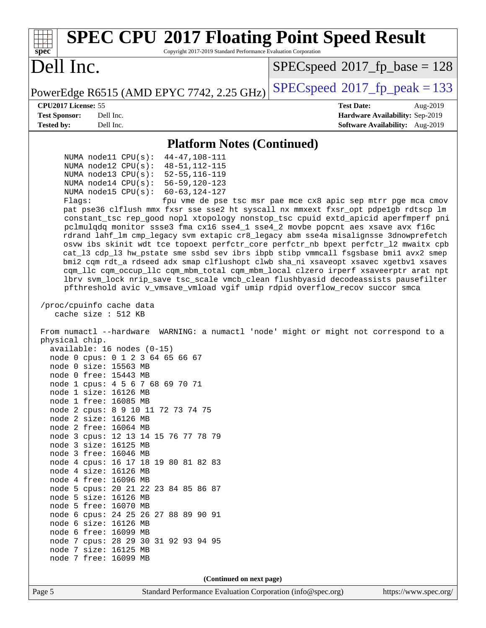| <b>SPEC CPU®2017 Floating Point Speed Result</b><br>Copyright 2017-2019 Standard Performance Evaluation Corporation<br>$spec^*$                                                                                                                                                                                                                                                                                                                                                                                                                                                                                                                                                                                                                                                                                                                                                                                                                                                                                                                                                                                                                                                                                                                                                                                                                                                                                                                                                                                                                                                                                                                                                                                                                                                                                                                                                                                                                                                                                                                                                                                                                                                                                                        |                                                                                                            |  |  |  |  |
|----------------------------------------------------------------------------------------------------------------------------------------------------------------------------------------------------------------------------------------------------------------------------------------------------------------------------------------------------------------------------------------------------------------------------------------------------------------------------------------------------------------------------------------------------------------------------------------------------------------------------------------------------------------------------------------------------------------------------------------------------------------------------------------------------------------------------------------------------------------------------------------------------------------------------------------------------------------------------------------------------------------------------------------------------------------------------------------------------------------------------------------------------------------------------------------------------------------------------------------------------------------------------------------------------------------------------------------------------------------------------------------------------------------------------------------------------------------------------------------------------------------------------------------------------------------------------------------------------------------------------------------------------------------------------------------------------------------------------------------------------------------------------------------------------------------------------------------------------------------------------------------------------------------------------------------------------------------------------------------------------------------------------------------------------------------------------------------------------------------------------------------------------------------------------------------------------------------------------------------|------------------------------------------------------------------------------------------------------------|--|--|--|--|
| Dell Inc.                                                                                                                                                                                                                                                                                                                                                                                                                                                                                                                                                                                                                                                                                                                                                                                                                                                                                                                                                                                                                                                                                                                                                                                                                                                                                                                                                                                                                                                                                                                                                                                                                                                                                                                                                                                                                                                                                                                                                                                                                                                                                                                                                                                                                              | $SPEC speed^{\circ}2017$ [p_base = 128                                                                     |  |  |  |  |
| PowerEdge R6515 (AMD EPYC 7742, 2.25 GHz)                                                                                                                                                                                                                                                                                                                                                                                                                                                                                                                                                                                                                                                                                                                                                                                                                                                                                                                                                                                                                                                                                                                                                                                                                                                                                                                                                                                                                                                                                                                                                                                                                                                                                                                                                                                                                                                                                                                                                                                                                                                                                                                                                                                              | $SPEC speed^{\circ}2017$ fp peak = 133                                                                     |  |  |  |  |
| CPU2017 License: 55<br><b>Test Sponsor:</b><br>Dell Inc.<br><b>Tested by:</b><br>Dell Inc.                                                                                                                                                                                                                                                                                                                                                                                                                                                                                                                                                                                                                                                                                                                                                                                                                                                                                                                                                                                                                                                                                                                                                                                                                                                                                                                                                                                                                                                                                                                                                                                                                                                                                                                                                                                                                                                                                                                                                                                                                                                                                                                                             | <b>Test Date:</b><br>Aug-2019<br>Hardware Availability: Sep-2019<br><b>Software Availability:</b> Aug-2019 |  |  |  |  |
|                                                                                                                                                                                                                                                                                                                                                                                                                                                                                                                                                                                                                                                                                                                                                                                                                                                                                                                                                                                                                                                                                                                                                                                                                                                                                                                                                                                                                                                                                                                                                                                                                                                                                                                                                                                                                                                                                                                                                                                                                                                                                                                                                                                                                                        |                                                                                                            |  |  |  |  |
| <b>Platform Notes (Continued)</b><br>$44 - 47, 108 - 111$<br>NUMA $model1$ CPU( $s$ ):<br>NUMA $node12$ CPU $(s):$<br>$48 - 51, 112 - 115$<br>NUMA $node13$ $CPU(s):$<br>$52 - 55, 116 - 119$<br>NUMA $node14$ $CPU(s):$<br>$56 - 59, 120 - 123$<br>NUMA node15 $CPU(s):$<br>$60 - 63, 124 - 127$<br>fpu vme de pse tsc msr pae mce cx8 apic sep mtrr pge mca cmov<br>Flags:<br>pat pse36 clflush mmx fxsr sse sse2 ht syscall nx mmxext fxsr_opt pdpe1gb rdtscp lm<br>constant_tsc rep_good nopl xtopology nonstop_tsc cpuid extd_apicid aperfmperf pni<br>pclmulqdq monitor ssse3 fma cx16 sse4_1 sse4_2 movbe popcnt aes xsave avx f16c<br>rdrand lahf_lm cmp_legacy svm extapic cr8_legacy abm sse4a misalignsse 3dnowprefetch<br>osvw ibs skinit wdt tce topoext perfctr_core perfctr_nb bpext perfctr_12 mwaitx cpb<br>cat_13 cdp_13 hw_pstate sme ssbd sev ibrs ibpb stibp vmmcall fsgsbase bmil avx2 smep<br>bmi2 cqm rdt_a rdseed adx smap clflushopt clwb sha_ni xsaveopt xsavec xgetbv1 xsaves<br>cqm_llc cqm_occup_llc cqm_mbm_total cqm_mbm_local clzero irperf xsaveerptr arat npt<br>lbrv svm_lock nrip_save tsc_scale vmcb_clean flushbyasid decodeassists pausefilter<br>pfthreshold avic v_vmsave_vmload vgif umip rdpid overflow_recov succor smca<br>/proc/cpuinfo cache data<br>cache size $: 512$ KB<br>From numactl --hardware WARNING: a numactl 'node' might or might not correspond to a<br>physical chip.<br>$available: 16 nodes (0-15)$<br>node 0 cpus: 0 1 2 3 64 65 66 67<br>node 0 size: 15563 MB<br>node 0 free: 15443 MB<br>node 1 cpus: 4 5 6 7 68 69 70 71<br>node 1 size: 16126 MB<br>node 1 free: 16085 MB<br>node 2 cpus: 8 9 10 11 72 73 74 75<br>node 2 size: 16126 MB<br>node 2 free: 16064 MB<br>node 3 cpus: 12 13 14 15 76 77 78 79<br>node 3 size: 16125 MB<br>node 3 free: 16046 MB<br>node 4 cpus: 16 17 18 19 80 81 82 83<br>node 4 size: 16126 MB<br>node 4 free: 16096 MB<br>node 5 cpus: 20 21 22 23 84 85 86 87<br>node 5 size: 16126 MB<br>node 5 free: 16070 MB<br>node 6 cpus: 24 25 26 27 88 89 90 91<br>node 6 size: 16126 MB<br>node 6 free: 16099 MB<br>node 7 cpus: 28 29 30 31 92 93 94 95<br>node 7 size: 16125 MB<br>node 7 free: 16099 MB<br>(Continued on next page) |                                                                                                            |  |  |  |  |
| Standard Performance Evaluation Corporation (info@spec.org)<br>Page 5                                                                                                                                                                                                                                                                                                                                                                                                                                                                                                                                                                                                                                                                                                                                                                                                                                                                                                                                                                                                                                                                                                                                                                                                                                                                                                                                                                                                                                                                                                                                                                                                                                                                                                                                                                                                                                                                                                                                                                                                                                                                                                                                                                  | https://www.spec.org/                                                                                      |  |  |  |  |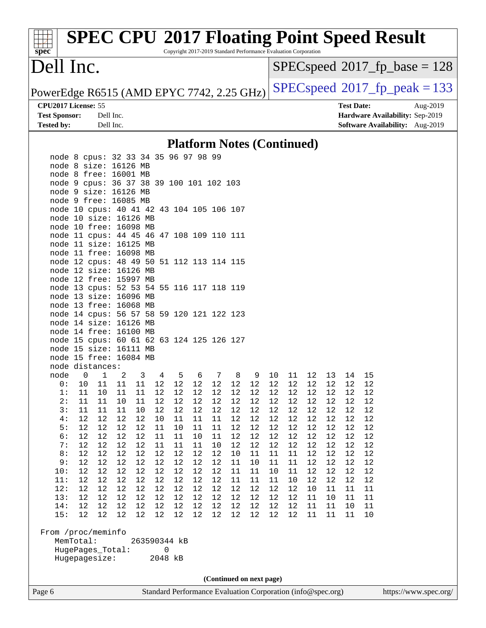Copyright 2017-2019 Standard Performance Evaluation Corporation

### Dell Inc.

**[spec](http://www.spec.org/)**

 $SPEC speed$ <sup>®</sup> $2017$ \_fp\_base = 128

PowerEdge R6515 (AMD EPYC 7742, 2.25 GHz)  $\left|$  [SPECspeed](http://www.spec.org/auto/cpu2017/Docs/result-fields.html#SPECspeed2017fppeak)<sup>®</sup>[2017\\_fp\\_peak = 1](http://www.spec.org/auto/cpu2017/Docs/result-fields.html#SPECspeed2017fppeak)33

**[CPU2017 License:](http://www.spec.org/auto/cpu2017/Docs/result-fields.html#CPU2017License)** 55 **[Test Date:](http://www.spec.org/auto/cpu2017/Docs/result-fields.html#TestDate)** Aug-2019 **[Test Sponsor:](http://www.spec.org/auto/cpu2017/Docs/result-fields.html#TestSponsor)** Dell Inc. **[Hardware Availability:](http://www.spec.org/auto/cpu2017/Docs/result-fields.html#HardwareAvailability)** Sep-2019 **[Tested by:](http://www.spec.org/auto/cpu2017/Docs/result-fields.html#Testedby)** Dell Inc. **[Software Availability:](http://www.spec.org/auto/cpu2017/Docs/result-fields.html#SoftwareAvailability)** Aug-2019

### **[Platform Notes \(Continued\)](http://www.spec.org/auto/cpu2017/Docs/result-fields.html#PlatformNotes)**

|                                                    |             | node 8 cpus: 32 33 34 35 96 97 98 99      |      |      |                |        |      |                          |          |          |          |          |        |      |    |          |  |
|----------------------------------------------------|-------------|-------------------------------------------|------|------|----------------|--------|------|--------------------------|----------|----------|----------|----------|--------|------|----|----------|--|
|                                                    |             | node 8 size: 16126 MB                     |      |      |                |        |      |                          |          |          |          |          |        |      |    |          |  |
|                                                    |             | node 8 free: 16001 MB                     |      |      |                |        |      |                          |          |          |          |          |        |      |    |          |  |
|                                                    |             | node 9 cpus: 36 37 38 39 100 101 102 103  |      |      |                |        |      |                          |          |          |          |          |        |      |    |          |  |
|                                                    |             | node 9 size: 16126 MB                     |      |      |                |        |      |                          |          |          |          |          |        |      |    |          |  |
|                                                    |             | node 9 free: 16085 MB                     |      |      |                |        |      |                          |          |          |          |          |        |      |    |          |  |
|                                                    |             | node 10 cpus: 40 41 42 43 104 105 106 107 |      |      |                |        |      |                          |          |          |          |          |        |      |    |          |  |
|                                                    |             | node 10 size: 16126 MB                    |      |      |                |        |      |                          |          |          |          |          |        |      |    |          |  |
|                                                    |             | node 10 free: 16098 MB                    |      |      |                |        |      |                          |          |          |          |          |        |      |    |          |  |
|                                                    |             | node 11 cpus: 44 45 46 47 108 109 110 111 |      |      |                |        |      |                          |          |          |          |          |        |      |    |          |  |
|                                                    |             | node 11 size: 16125 MB                    |      |      |                |        |      |                          |          |          |          |          |        |      |    |          |  |
|                                                    |             | node 11 free: 16098 MB                    |      |      |                |        |      |                          |          |          |          |          |        |      |    |          |  |
|                                                    |             | node 12 cpus: 48 49 50 51 112 113 114 115 |      |      |                |        |      |                          |          |          |          |          |        |      |    |          |  |
|                                                    |             | node 12 size: 16126 MB                    |      |      |                |        |      |                          |          |          |          |          |        |      |    |          |  |
|                                                    |             | node 12 free: 15997 MB                    |      |      |                |        |      |                          |          |          |          |          |        |      |    |          |  |
|                                                    |             | node 13 cpus: 52 53 54 55 116 117 118 119 |      |      |                |        |      |                          |          |          |          |          |        |      |    |          |  |
|                                                    |             | node 13 size: 16096 MB                    |      |      |                |        |      |                          |          |          |          |          |        |      |    |          |  |
|                                                    |             | node 13 free: 16068 MB                    |      |      |                |        |      |                          |          |          |          |          |        |      |    |          |  |
|                                                    |             | node 14 cpus: 56 57 58 59 120 121 122 123 |      |      |                |        |      |                          |          |          |          |          |        |      |    |          |  |
|                                                    |             | node 14 size: 16126 MB                    |      |      |                |        |      |                          |          |          |          |          |        |      |    |          |  |
|                                                    |             | node 14 free: 16100 MB                    |      |      |                |        |      |                          |          |          |          |          |        |      |    |          |  |
|                                                    |             | node 15 cpus: 60 61 62 63 124 125 126 127 |      |      |                |        |      |                          |          |          |          |          |        |      |    |          |  |
|                                                    |             | node 15 size: 16111 MB                    |      |      |                |        |      |                          |          |          |          |          |        |      |    |          |  |
|                                                    |             | node 15 free: 16084 MB                    |      |      |                |        |      |                          |          |          |          |          |        |      |    |          |  |
|                                                    |             | node distances:                           |      |      |                |        |      |                          |          |          |          |          |        |      |    |          |  |
| node                                               | $\mathsf 0$ | $\mathbf 1$                               | 2    | 3    | $\overline{4}$ | 5      | 6    | $7\phantom{.0}$          | 8        | 9        | 10       | 11       | 12     | 13   | 14 | 15       |  |
| 0:                                                 | $10$        | 11                                        | 11   | 11   | 12             | $12\,$ | 12   | 12                       | 12       | 12       | 12       | 12       | 12     | 12   | 12 | 12       |  |
| 1:                                                 | 11          | 10                                        | 11   | 11   | 12             | 12     | 12   | $12\,$                   | $12\,$   | 12       | 12       | 12       | 12     | 12   | 12 | 12       |  |
| 2:                                                 | 11          | 11                                        | $10$ | 11   | 12             | 12     | 12   | 12                       | 12       | 12       | 12       | 12       | 12     | 12   | 12 | $12$     |  |
| 3:                                                 | 11          | 11                                        | 11   | 10   | 12             | 12     | 12   | 12                       | 12       | 12       | 12       | 12       | 12     | 12   | 12 | 12       |  |
| 4:                                                 | 12          | 12                                        | 12   | 12   | 10             | 11     | 11   | $11\,$                   | 12       | 12       | 12       | 12       | 12     | 12   | 12 | 12       |  |
| 5:                                                 | 12          | 12                                        | 12   | 12   | 11             | 10     | 11   | 11                       | 12       | 12       | 12       | 12       | 12     | 12   | 12 | 12       |  |
| 6:                                                 | 12          | 12                                        | 12   | 12   | 11             | 11     | 10   | 11                       | 12       | 12       | 12       | 12       | 12     | 12   | 12 | 12       |  |
| 7:                                                 | 12          | 12                                        | 12   | 12   | 11             | 11     | 11   | 10                       | 12       | 12       | 12       | 12       | 12     | 12   | 12 | 12       |  |
| 8:                                                 | 12          | 12                                        | 12   | 12   | 12             | 12     | 12   | 12                       | 10       | 11       | 11       | 11       | 12     | 12   | 12 | 12       |  |
| 9:                                                 | 12          | 12                                        | 12   | 12   | 12             | 12     | 12   | 12                       | 11       | 10       | 11       | 11       | 12     | 12   | 12 | 12       |  |
| 10:                                                | 12          | 12                                        | 12   | 12   | 12             | 12     | 12   | 12                       | 11       | $11\,$   | 10       | 11       | $1\,2$ | $12$ | 12 | 12       |  |
|                                                    | 12          | 12                                        | 12   | 12   | 12             | 12     | 12   | 12                       |          |          |          |          | 12     | 12   | 12 | 12       |  |
| 11:<br>12:                                         | 12          | 12                                        | 12   | 12   | 12             | 12     | 12   | 12                       | 11<br>12 | 11<br>12 | 11<br>12 | 10<br>12 | 10     | 11   | 11 |          |  |
| 13:                                                | $12$        | 12                                        | $12$ | $12$ | $12$           | $12$   | $12$ | $12$                     | $12\,$   | 12       | 12       | 12       | 11     | $10$ | 11 | 11<br>11 |  |
|                                                    |             |                                           |      |      |                |        |      |                          |          |          |          |          |        |      |    |          |  |
|                                                    |             |                                           |      |      |                |        |      |                          |          |          |          |          |        |      |    |          |  |
| 15:                                                |             |                                           |      |      |                |        |      |                          |          |          |          |          |        |      | 11 | 10       |  |
|                                                    |             |                                           |      |      |                |        |      |                          |          |          |          |          |        |      |    |          |  |
| From /proc/meminfo                                 |             |                                           |      |      |                |        |      |                          |          |          |          |          |        |      |    |          |  |
| MemTotal:<br>263590344 kB<br>HugePages_Total:<br>0 |             |                                           |      |      |                |        |      |                          |          |          |          |          |        |      |    |          |  |
|                                                    |             | Hugepagesize:                             |      |      | 2048 kB        |        |      |                          |          |          |          |          |        |      |    |          |  |
|                                                    |             |                                           |      |      |                |        |      |                          |          |          |          |          |        |      |    |          |  |
|                                                    |             |                                           |      |      |                |        |      |                          |          |          |          |          |        |      |    |          |  |
|                                                    |             |                                           |      |      |                |        |      | (Continued on next page) |          |          |          |          |        |      |    |          |  |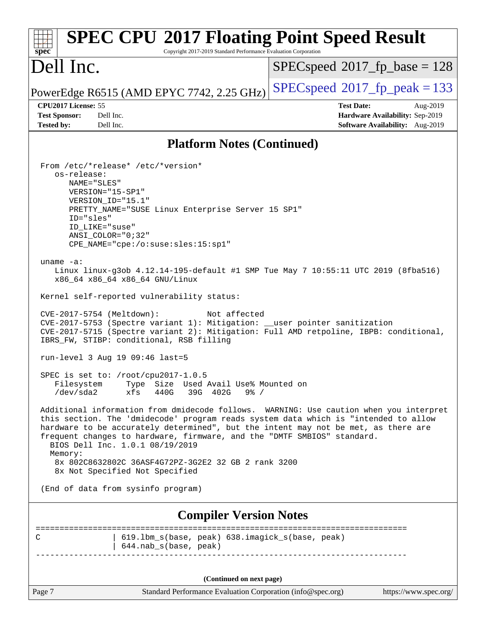| <b>SPEC CPU®2017 Floating Point Speed Result</b><br>Copyright 2017-2019 Standard Performance Evaluation Corporation<br>$spec^*$                                                                                                                                                                                                                                                                                                                                                                                                                                                                                                                                                                                                                                                                                                                                                                                                                                                                                                                                                                                                                                                                                                                                                                                                                                                                                                                                |                                                                                                     |
|----------------------------------------------------------------------------------------------------------------------------------------------------------------------------------------------------------------------------------------------------------------------------------------------------------------------------------------------------------------------------------------------------------------------------------------------------------------------------------------------------------------------------------------------------------------------------------------------------------------------------------------------------------------------------------------------------------------------------------------------------------------------------------------------------------------------------------------------------------------------------------------------------------------------------------------------------------------------------------------------------------------------------------------------------------------------------------------------------------------------------------------------------------------------------------------------------------------------------------------------------------------------------------------------------------------------------------------------------------------------------------------------------------------------------------------------------------------|-----------------------------------------------------------------------------------------------------|
| Dell Inc.                                                                                                                                                                                                                                                                                                                                                                                                                                                                                                                                                                                                                                                                                                                                                                                                                                                                                                                                                                                                                                                                                                                                                                                                                                                                                                                                                                                                                                                      | $SPEC speed^{\circ}2017\_fp\_base = 128$                                                            |
| PowerEdge R6515 (AMD EPYC 7742, 2.25 GHz)                                                                                                                                                                                                                                                                                                                                                                                                                                                                                                                                                                                                                                                                                                                                                                                                                                                                                                                                                                                                                                                                                                                                                                                                                                                                                                                                                                                                                      | $SPEC speed^{\circ}2017$ fp peak = 133                                                              |
| CPU2017 License: 55<br><b>Test Sponsor:</b><br>Dell Inc.<br><b>Tested by:</b><br>Dell Inc.                                                                                                                                                                                                                                                                                                                                                                                                                                                                                                                                                                                                                                                                                                                                                                                                                                                                                                                                                                                                                                                                                                                                                                                                                                                                                                                                                                     | <b>Test Date:</b><br>Aug-2019<br>Hardware Availability: Sep-2019<br>Software Availability: Aug-2019 |
| <b>Platform Notes (Continued)</b>                                                                                                                                                                                                                                                                                                                                                                                                                                                                                                                                                                                                                                                                                                                                                                                                                                                                                                                                                                                                                                                                                                                                                                                                                                                                                                                                                                                                                              |                                                                                                     |
| From /etc/*release* /etc/*version*<br>os-release:<br>NAME="SLES"<br>VERSION="15-SP1"<br>VERSION_ID="15.1"<br>PRETTY_NAME="SUSE Linux Enterprise Server 15 SP1"<br>ID="sles"<br>ID LIKE="suse"<br>$ANSI$ _COLOR="0;32"<br>CPE_NAME="cpe:/o:suse:sles:15:sp1"<br>uname $-a$ :<br>Linux linux-g3ob 4.12.14-195-default #1 SMP Tue May 7 10:55:11 UTC 2019 (8fba516)<br>x86_64 x86_64 x86_64 GNU/Linux<br>Kernel self-reported vulnerability status:<br>CVE-2017-5754 (Meltdown):<br>Not affected<br>CVE-2017-5753 (Spectre variant 1): Mitigation: __user pointer sanitization<br>CVE-2017-5715 (Spectre variant 2): Mitigation: Full AMD retpoline, IBPB: conditional,<br>IBRS_FW, STIBP: conditional, RSB filling<br>$run-level$ 3 Aug 19 09:46 last=5<br>SPEC is set to: $/root/cpu2017-1.0.5$<br>Used Avail Use% Mounted on<br>Filesystem<br>Type<br>Size<br>$/\text{dev/sda2}$<br>xfs<br>440G<br>39G 402G<br>$9\frac{6}{5}$ /<br>Additional information from dmidecode follows. WARNING: Use caution when you interpret<br>this section. The 'dmidecode' program reads system data which is "intended to allow<br>hardware to be accurately determined", but the intent may not be met, as there are<br>frequent changes to hardware, firmware, and the "DMTF SMBIOS" standard.<br>BIOS Dell Inc. 1.0.1 08/19/2019<br>Memory:<br>8x 802C8632802C 36ASF4G72PZ-3G2E2 32 GB 2 rank 3200<br>8x Not Specified Not Specified<br>(End of data from sysinfo program) |                                                                                                     |
| <b>Compiler Version Notes</b>                                                                                                                                                                                                                                                                                                                                                                                                                                                                                                                                                                                                                                                                                                                                                                                                                                                                                                                                                                                                                                                                                                                                                                                                                                                                                                                                                                                                                                  |                                                                                                     |
| 619.1bm_s(base, peak) 638.imagick_s(base, peak)<br>С<br>644.nab_s(base, peak)                                                                                                                                                                                                                                                                                                                                                                                                                                                                                                                                                                                                                                                                                                                                                                                                                                                                                                                                                                                                                                                                                                                                                                                                                                                                                                                                                                                  | ======================                                                                              |
| (Continued on next page)                                                                                                                                                                                                                                                                                                                                                                                                                                                                                                                                                                                                                                                                                                                                                                                                                                                                                                                                                                                                                                                                                                                                                                                                                                                                                                                                                                                                                                       |                                                                                                     |
| Page 7<br>Standard Performance Evaluation Corporation (info@spec.org)                                                                                                                                                                                                                                                                                                                                                                                                                                                                                                                                                                                                                                                                                                                                                                                                                                                                                                                                                                                                                                                                                                                                                                                                                                                                                                                                                                                          | https://www.spec.org/                                                                               |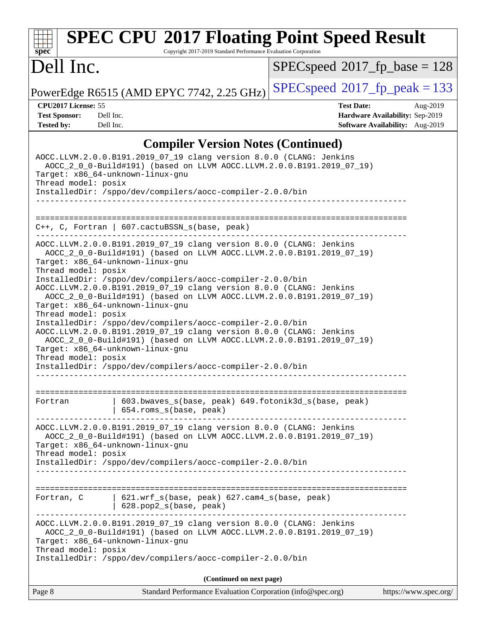### Page 8 Standard Performance Evaluation Corporation [\(info@spec.org\)](mailto:info@spec.org) <https://www.spec.org/> **[spec](http://www.spec.org/) [SPEC CPU](http://www.spec.org/auto/cpu2017/Docs/result-fields.html#SPECCPU2017FloatingPointSpeedResult)[2017 Floating Point Speed Result](http://www.spec.org/auto/cpu2017/Docs/result-fields.html#SPECCPU2017FloatingPointSpeedResult)** Copyright 2017-2019 Standard Performance Evaluation Corporation Dell Inc. PowerEdge R6515 (AMD EPYC 7742, 2.25 GHz)  $\left|$  [SPECspeed](http://www.spec.org/auto/cpu2017/Docs/result-fields.html#SPECspeed2017fppeak)<sup>®</sup>[2017\\_fp\\_peak = 1](http://www.spec.org/auto/cpu2017/Docs/result-fields.html#SPECspeed2017fppeak)33 [SPECspeed](http://www.spec.org/auto/cpu2017/Docs/result-fields.html#SPECspeed2017fpbase)<sup>®</sup>2017 fp base = 128 **[CPU2017 License:](http://www.spec.org/auto/cpu2017/Docs/result-fields.html#CPU2017License)** 55 **[Test Date:](http://www.spec.org/auto/cpu2017/Docs/result-fields.html#TestDate)** Aug-2019 **[Test Sponsor:](http://www.spec.org/auto/cpu2017/Docs/result-fields.html#TestSponsor)** Dell Inc. **[Hardware Availability:](http://www.spec.org/auto/cpu2017/Docs/result-fields.html#HardwareAvailability)** Sep-2019 **[Tested by:](http://www.spec.org/auto/cpu2017/Docs/result-fields.html#Testedby)** Dell Inc. **[Software Availability:](http://www.spec.org/auto/cpu2017/Docs/result-fields.html#SoftwareAvailability)** Aug-2019 **[Compiler Version Notes \(Continued\)](http://www.spec.org/auto/cpu2017/Docs/result-fields.html#CompilerVersionNotes)** AOCC.LLVM.2.0.0.B191.2019\_07\_19 clang version 8.0.0 (CLANG: Jenkins AOCC\_2\_0\_0-Build#191) (based on LLVM AOCC.LLVM.2.0.0.B191.2019\_07\_19) Target: x86\_64-unknown-linux-gnu Thread model: posix InstalledDir: /sppo/dev/compilers/aocc-compiler-2.0.0/bin ------------------------------------------------------------------------------ ============================================================================== C++, C, Fortran | 607.cactuBSSN\_s(base, peak) ------------------------------------------------------------------------------ AOCC.LLVM.2.0.0.B191.2019\_07\_19 clang version 8.0.0 (CLANG: Jenkins AOCC\_2\_0\_0-Build#191) (based on LLVM AOCC.LLVM.2.0.0.B191.2019\_07\_19) Target: x86\_64-unknown-linux-gnu Thread model: posix InstalledDir: /sppo/dev/compilers/aocc-compiler-2.0.0/bin AOCC.LLVM.2.0.0.B191.2019\_07\_19 clang version 8.0.0 (CLANG: Jenkins AOCC\_2\_0\_0-Build#191) (based on LLVM AOCC.LLVM.2.0.0.B191.2019\_07\_19) Target: x86\_64-unknown-linux-gnu Thread model: posix InstalledDir: /sppo/dev/compilers/aocc-compiler-2.0.0/bin AOCC.LLVM.2.0.0.B191.2019\_07\_19 clang version 8.0.0 (CLANG: Jenkins AOCC\_2\_0\_0-Build#191) (based on LLVM AOCC.LLVM.2.0.0.B191.2019\_07\_19) Target: x86\_64-unknown-linux-gnu Thread model: posix InstalledDir: /sppo/dev/compilers/aocc-compiler-2.0.0/bin ------------------------------------------------------------------------------ ============================================================================== Fortran 1603.bwaves\_s(base, peak) 649.fotonik3d\_s(base, peak) | 654.roms\_s(base, peak) ------------------------------------------------------------------------------ AOCC.LLVM.2.0.0.B191.2019\_07\_19 clang version 8.0.0 (CLANG: Jenkins AOCC\_2\_0\_0-Build#191) (based on LLVM AOCC.LLVM.2.0.0.B191.2019\_07\_19) Target: x86\_64-unknown-linux-gnu Thread model: posix InstalledDir: /sppo/dev/compilers/aocc-compiler-2.0.0/bin ------------------------------------------------------------------------------ ============================================================================== Fortran, C | 621.wrf\_s(base, peak) 627.cam4\_s(base, peak) | 628.pop2\_s(base, peak) ------------------------------------------------------------------------------ AOCC.LLVM.2.0.0.B191.2019\_07\_19 clang version 8.0.0 (CLANG: Jenkins AOCC\_2\_0\_0-Build#191) (based on LLVM AOCC.LLVM.2.0.0.B191.2019\_07\_19) Target: x86\_64-unknown-linux-gnu Thread model: posix InstalledDir: /sppo/dev/compilers/aocc-compiler-2.0.0/bin **(Continued on next page)**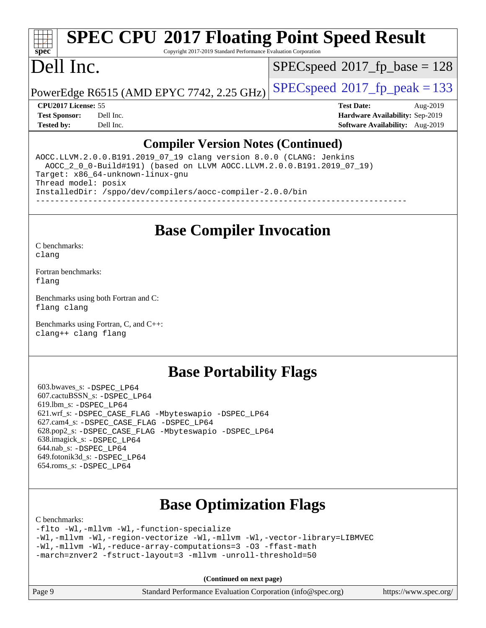Copyright 2017-2019 Standard Performance Evaluation Corporation

### Dell Inc.

**[spec](http://www.spec.org/)**

[SPECspeed](http://www.spec.org/auto/cpu2017/Docs/result-fields.html#SPECspeed2017fpbase)<sup>®</sup>2017 fp base = 128

PowerEdge R6515 (AMD EPYC 7742, 2.25 GHz)  $\left|$  [SPECspeed](http://www.spec.org/auto/cpu2017/Docs/result-fields.html#SPECspeed2017fppeak)®[2017\\_fp\\_peak = 1](http://www.spec.org/auto/cpu2017/Docs/result-fields.html#SPECspeed2017fppeak)33

**[CPU2017 License:](http://www.spec.org/auto/cpu2017/Docs/result-fields.html#CPU2017License)** 55 **[Test Date:](http://www.spec.org/auto/cpu2017/Docs/result-fields.html#TestDate)** Aug-2019 **[Test Sponsor:](http://www.spec.org/auto/cpu2017/Docs/result-fields.html#TestSponsor)** Dell Inc. **[Hardware Availability:](http://www.spec.org/auto/cpu2017/Docs/result-fields.html#HardwareAvailability)** Sep-2019 **[Tested by:](http://www.spec.org/auto/cpu2017/Docs/result-fields.html#Testedby)** Dell Inc. **[Software Availability:](http://www.spec.org/auto/cpu2017/Docs/result-fields.html#SoftwareAvailability)** Aug-2019

### **[Compiler Version Notes \(Continued\)](http://www.spec.org/auto/cpu2017/Docs/result-fields.html#CompilerVersionNotes)**

AOCC.LLVM.2.0.0.B191.2019\_07\_19 clang version 8.0.0 (CLANG: Jenkins AOCC\_2\_0\_0-Build#191) (based on LLVM AOCC.LLVM.2.0.0.B191.2019\_07\_19) Target: x86\_64-unknown-linux-gnu Thread model: posix InstalledDir: /sppo/dev/compilers/aocc-compiler-2.0.0/bin ------------------------------------------------------------------------------

**[Base Compiler Invocation](http://www.spec.org/auto/cpu2017/Docs/result-fields.html#BaseCompilerInvocation)**

[C benchmarks](http://www.spec.org/auto/cpu2017/Docs/result-fields.html#Cbenchmarks): [clang](http://www.spec.org/cpu2017/results/res2019q3/cpu2017-20190831-17274.flags.html#user_CCbase_clang-c)

[Fortran benchmarks](http://www.spec.org/auto/cpu2017/Docs/result-fields.html#Fortranbenchmarks): [flang](http://www.spec.org/cpu2017/results/res2019q3/cpu2017-20190831-17274.flags.html#user_FCbase_flang)

[Benchmarks using both Fortran and C](http://www.spec.org/auto/cpu2017/Docs/result-fields.html#BenchmarksusingbothFortranandC): [flang](http://www.spec.org/cpu2017/results/res2019q3/cpu2017-20190831-17274.flags.html#user_CC_FCbase_flang) [clang](http://www.spec.org/cpu2017/results/res2019q3/cpu2017-20190831-17274.flags.html#user_CC_FCbase_clang-c)

[Benchmarks using Fortran, C, and C++:](http://www.spec.org/auto/cpu2017/Docs/result-fields.html#BenchmarksusingFortranCandCXX) [clang++](http://www.spec.org/cpu2017/results/res2019q3/cpu2017-20190831-17274.flags.html#user_CC_CXX_FCbase_clang-cpp) [clang](http://www.spec.org/cpu2017/results/res2019q3/cpu2017-20190831-17274.flags.html#user_CC_CXX_FCbase_clang-c) [flang](http://www.spec.org/cpu2017/results/res2019q3/cpu2017-20190831-17274.flags.html#user_CC_CXX_FCbase_flang)

### **[Base Portability Flags](http://www.spec.org/auto/cpu2017/Docs/result-fields.html#BasePortabilityFlags)**

 603.bwaves\_s: [-DSPEC\\_LP64](http://www.spec.org/cpu2017/results/res2019q3/cpu2017-20190831-17274.flags.html#suite_baseEXTRA_PORTABILITY603_bwaves_s_DSPEC_LP64) 607.cactuBSSN\_s: [-DSPEC\\_LP64](http://www.spec.org/cpu2017/results/res2019q3/cpu2017-20190831-17274.flags.html#suite_baseEXTRA_PORTABILITY607_cactuBSSN_s_DSPEC_LP64) 619.lbm\_s: [-DSPEC\\_LP64](http://www.spec.org/cpu2017/results/res2019q3/cpu2017-20190831-17274.flags.html#suite_baseEXTRA_PORTABILITY619_lbm_s_DSPEC_LP64) 621.wrf\_s: [-DSPEC\\_CASE\\_FLAG](http://www.spec.org/cpu2017/results/res2019q3/cpu2017-20190831-17274.flags.html#b621.wrf_s_baseCPORTABILITY_DSPEC_CASE_FLAG) [-Mbyteswapio](http://www.spec.org/cpu2017/results/res2019q3/cpu2017-20190831-17274.flags.html#user_baseFPORTABILITY621_wrf_s_F-mbyteswapio_543c39ce38db59bcbc3b888917ef58c313007ae1c27520b689e012995ae261114051d1d5efcb4182d175ce22a6a15532d3a9999882dd2c360e6d853f41da6883) [-DSPEC\\_LP64](http://www.spec.org/cpu2017/results/res2019q3/cpu2017-20190831-17274.flags.html#suite_baseEXTRA_PORTABILITY621_wrf_s_DSPEC_LP64) 627.cam4\_s: [-DSPEC\\_CASE\\_FLAG](http://www.spec.org/cpu2017/results/res2019q3/cpu2017-20190831-17274.flags.html#b627.cam4_s_basePORTABILITY_DSPEC_CASE_FLAG) [-DSPEC\\_LP64](http://www.spec.org/cpu2017/results/res2019q3/cpu2017-20190831-17274.flags.html#suite_baseEXTRA_PORTABILITY627_cam4_s_DSPEC_LP64) 628.pop2\_s: [-DSPEC\\_CASE\\_FLAG](http://www.spec.org/cpu2017/results/res2019q3/cpu2017-20190831-17274.flags.html#b628.pop2_s_baseCPORTABILITY_DSPEC_CASE_FLAG) [-Mbyteswapio](http://www.spec.org/cpu2017/results/res2019q3/cpu2017-20190831-17274.flags.html#user_baseFPORTABILITY628_pop2_s_F-mbyteswapio_543c39ce38db59bcbc3b888917ef58c313007ae1c27520b689e012995ae261114051d1d5efcb4182d175ce22a6a15532d3a9999882dd2c360e6d853f41da6883) [-DSPEC\\_LP64](http://www.spec.org/cpu2017/results/res2019q3/cpu2017-20190831-17274.flags.html#suite_baseEXTRA_PORTABILITY628_pop2_s_DSPEC_LP64) 638.imagick\_s: [-DSPEC\\_LP64](http://www.spec.org/cpu2017/results/res2019q3/cpu2017-20190831-17274.flags.html#suite_baseEXTRA_PORTABILITY638_imagick_s_DSPEC_LP64) 644.nab\_s: [-DSPEC\\_LP64](http://www.spec.org/cpu2017/results/res2019q3/cpu2017-20190831-17274.flags.html#suite_baseEXTRA_PORTABILITY644_nab_s_DSPEC_LP64) 649.fotonik3d\_s: [-DSPEC\\_LP64](http://www.spec.org/cpu2017/results/res2019q3/cpu2017-20190831-17274.flags.html#suite_baseEXTRA_PORTABILITY649_fotonik3d_s_DSPEC_LP64) 654.roms\_s: [-DSPEC\\_LP64](http://www.spec.org/cpu2017/results/res2019q3/cpu2017-20190831-17274.flags.html#suite_baseEXTRA_PORTABILITY654_roms_s_DSPEC_LP64)

### **[Base Optimization Flags](http://www.spec.org/auto/cpu2017/Docs/result-fields.html#BaseOptimizationFlags)**

[C benchmarks](http://www.spec.org/auto/cpu2017/Docs/result-fields.html#Cbenchmarks):

[-flto](http://www.spec.org/cpu2017/results/res2019q3/cpu2017-20190831-17274.flags.html#user_CCbase_aocc-flto) [-Wl,-mllvm -Wl,-function-specialize](http://www.spec.org/cpu2017/results/res2019q3/cpu2017-20190831-17274.flags.html#user_CCbase_F-function-specialize_7e7e661e57922243ee67c9a1251cb8910e607325179a0ce7f2884e09a6f5d4a5ef0ae4f37e8a2a11c95fc48e931f06dc2b6016f14b511fcb441e048bef1b065a) [-Wl,-mllvm -Wl,-region-vectorize](http://www.spec.org/cpu2017/results/res2019q3/cpu2017-20190831-17274.flags.html#user_CCbase_F-region-vectorize_fb6c6b5aa293c88efc6c7c2b52b20755e943585b1fe8658c35afef78727fff56e1a56891413c30e36b8e2a6f9a71126986319243e80eb6110b78b288f533c52b) [-Wl,-mllvm -Wl,-vector-library=LIBMVEC](http://www.spec.org/cpu2017/results/res2019q3/cpu2017-20190831-17274.flags.html#user_CCbase_F-use-vector-library_0a14b27fae317f283640384a31f7bfcc2bd4c1d0b5cfc618a3a430800c9b20217b00f61303eff223a3251b4f06ffbc9739dc5296db9d1fbb9ad24a3939d86d66) [-Wl,-mllvm -Wl,-reduce-array-computations=3](http://www.spec.org/cpu2017/results/res2019q3/cpu2017-20190831-17274.flags.html#user_CCbase_F-reduce-array-computations_b882aefe7a5dda4e33149f6299762b9a720dace3e498e13756f4c04e5a19edf5315c1f3993de2e61ec41e8c206231f84e05da7040e1bb5d69ba27d10a12507e4) [-O3](http://www.spec.org/cpu2017/results/res2019q3/cpu2017-20190831-17274.flags.html#user_CCbase_F-O3) [-ffast-math](http://www.spec.org/cpu2017/results/res2019q3/cpu2017-20190831-17274.flags.html#user_CCbase_aocc-ffast-math) [-march=znver2](http://www.spec.org/cpu2017/results/res2019q3/cpu2017-20190831-17274.flags.html#user_CCbase_aocc-march_3e2e19cff2eeef60c5d90b059483627c9ea47eca6d66670dbd53f9185f6439e27eb5e104cf773e9e8ab18c8842ce63e461a3e948d0214bd567ef3ade411bf467) [-fstruct-layout=3](http://www.spec.org/cpu2017/results/res2019q3/cpu2017-20190831-17274.flags.html#user_CCbase_F-struct-layout) [-mllvm -unroll-threshold=50](http://www.spec.org/cpu2017/results/res2019q3/cpu2017-20190831-17274.flags.html#user_CCbase_F-unroll-threshold_458874500b2c105d6d5cb4d7a611c40e2b16e9e3d26b355fea72d644c3673b4de4b3932662f0ed3dbec75c491a13da2d2ca81180bd779dc531083ef1e1e549dc)

**(Continued on next page)**

| age 9 |  |  |
|-------|--|--|
|-------|--|--|

Page 9 Standard Performance Evaluation Corporation [\(info@spec.org\)](mailto:info@spec.org) <https://www.spec.org/>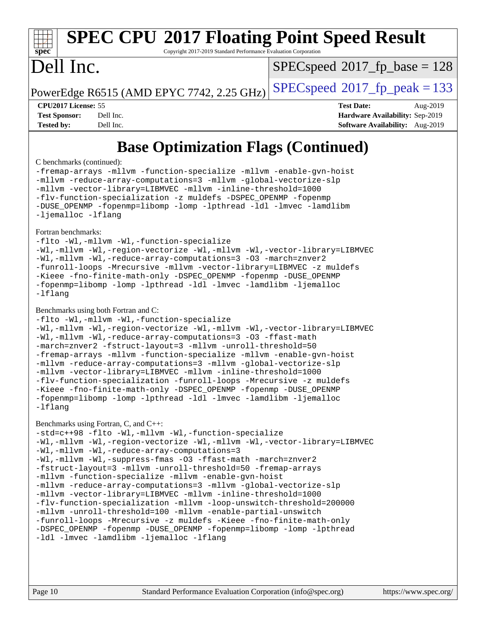Copyright 2017-2019 Standard Performance Evaluation Corporation

### Dell Inc.

**[spec](http://www.spec.org/)**

[SPECspeed](http://www.spec.org/auto/cpu2017/Docs/result-fields.html#SPECspeed2017fpbase)<sup>®</sup>2017 fp base = 128

PowerEdge R6515 (AMD EPYC 7742, 2.25 GHz)  $\left|$  [SPECspeed](http://www.spec.org/auto/cpu2017/Docs/result-fields.html#SPECspeed2017fppeak)<sup>®</sup>[2017\\_fp\\_peak = 1](http://www.spec.org/auto/cpu2017/Docs/result-fields.html#SPECspeed2017fppeak)33

**[CPU2017 License:](http://www.spec.org/auto/cpu2017/Docs/result-fields.html#CPU2017License)** 55 **[Test Date:](http://www.spec.org/auto/cpu2017/Docs/result-fields.html#TestDate)** Aug-2019

**[Test Sponsor:](http://www.spec.org/auto/cpu2017/Docs/result-fields.html#TestSponsor)** Dell Inc. **[Hardware Availability:](http://www.spec.org/auto/cpu2017/Docs/result-fields.html#HardwareAvailability)** Sep-2019 **[Tested by:](http://www.spec.org/auto/cpu2017/Docs/result-fields.html#Testedby)** Dell Inc. **[Software Availability:](http://www.spec.org/auto/cpu2017/Docs/result-fields.html#SoftwareAvailability)** Aug-2019

### **[Base Optimization Flags \(Continued\)](http://www.spec.org/auto/cpu2017/Docs/result-fields.html#BaseOptimizationFlags)**

### [C benchmarks](http://www.spec.org/auto/cpu2017/Docs/result-fields.html#Cbenchmarks) (continued):

[-fremap-arrays](http://www.spec.org/cpu2017/results/res2019q3/cpu2017-20190831-17274.flags.html#user_CCbase_F-fremap-arrays) [-mllvm -function-specialize](http://www.spec.org/cpu2017/results/res2019q3/cpu2017-20190831-17274.flags.html#user_CCbase_F-function-specialize_233b3bdba86027f1b094368157e481c5bc59f40286dc25bfadc1858dcd5745c24fd30d5f188710db7fea399bcc9f44a80b3ce3aacc70a8870250c3ae5e1f35b8) [-mllvm -enable-gvn-hoist](http://www.spec.org/cpu2017/results/res2019q3/cpu2017-20190831-17274.flags.html#user_CCbase_F-enable-gvn-hoist_e5856354646dd6ca1333a0ad99b817e4cf8932b91b82809fd8fd47ceff7b22a89eba5c98fd3e3fa5200368fd772cec3dd56abc3c8f7b655a71b9f9848dddedd5) [-mllvm -reduce-array-computations=3](http://www.spec.org/cpu2017/results/res2019q3/cpu2017-20190831-17274.flags.html#user_CCbase_F-reduce-array-computations_aceadb8604558b566e0e3a0d7a3c1533923dd1fa0889614e16288028922629a28d5695c24d3b3be4306b1e311c54317dfffe3a2e57fbcaabc737a1798de39145) [-mllvm -global-vectorize-slp](http://www.spec.org/cpu2017/results/res2019q3/cpu2017-20190831-17274.flags.html#user_CCbase_F-global-vectorize-slp_a3935e8627af4ced727033b1ffd4db27f4d541a363d28d82bf4c2925fb3a0fd4115d6e42d13a2829f9e024d6608eb67a85cb49770f2da5c5ac8dbc737afad603) [-mllvm -vector-library=LIBMVEC](http://www.spec.org/cpu2017/results/res2019q3/cpu2017-20190831-17274.flags.html#user_CCbase_F-use-vector-library_e584e20b4f7ec96aa109254b65d8e01d864f3d68580371b9d93ed7c338191d4cfce20c3c864632264effc6bbe4c7c38153d02096a342ee92501c4a53204a7871) [-mllvm -inline-threshold=1000](http://www.spec.org/cpu2017/results/res2019q3/cpu2017-20190831-17274.flags.html#user_CCbase_dragonegg-llvm-inline-threshold_b7832241b0a6397e4ecdbaf0eb7defdc10f885c2a282fa3240fdc99844d543fda39cf8a4a9dccf68cf19b5438ac3b455264f478df15da0f4988afa40d8243bab) [-flv-function-specialization](http://www.spec.org/cpu2017/results/res2019q3/cpu2017-20190831-17274.flags.html#user_CCbase_F-flv-function-specialization) [-z muldefs](http://www.spec.org/cpu2017/results/res2019q3/cpu2017-20190831-17274.flags.html#user_CCbase_aocc-muldefs) [-DSPEC\\_OPENMP](http://www.spec.org/cpu2017/results/res2019q3/cpu2017-20190831-17274.flags.html#suite_CCbase_DSPEC_OPENMP) [-fopenmp](http://www.spec.org/cpu2017/results/res2019q3/cpu2017-20190831-17274.flags.html#user_CCbase_aocc-fopenmp) [-DUSE\\_OPENMP](http://www.spec.org/cpu2017/results/res2019q3/cpu2017-20190831-17274.flags.html#user_CCbase_F-DUSE_OPENMP) [-fopenmp=libomp](http://www.spec.org/cpu2017/results/res2019q3/cpu2017-20190831-17274.flags.html#user_CCbase_aocc-fopenmp_3eb6ab80166bcc84161ff8c20c8d5bc344f88119f45620444596454f7d72e99b7a0ceefc2d1b4d190bd07306bbfdfc20f11f5a2dc69c9b03c72239f8406741c3) [-lomp](http://www.spec.org/cpu2017/results/res2019q3/cpu2017-20190831-17274.flags.html#user_CCbase_F-lomp) [-lpthread](http://www.spec.org/cpu2017/results/res2019q3/cpu2017-20190831-17274.flags.html#user_CCbase_F-lpthread) [-ldl](http://www.spec.org/cpu2017/results/res2019q3/cpu2017-20190831-17274.flags.html#user_CCbase_F-ldl) [-lmvec](http://www.spec.org/cpu2017/results/res2019q3/cpu2017-20190831-17274.flags.html#user_CCbase_F-lmvec) [-lamdlibm](http://www.spec.org/cpu2017/results/res2019q3/cpu2017-20190831-17274.flags.html#user_CCbase_F-lamdlibm) [-ljemalloc](http://www.spec.org/cpu2017/results/res2019q3/cpu2017-20190831-17274.flags.html#user_CCbase_jemalloc-lib) [-lflang](http://www.spec.org/cpu2017/results/res2019q3/cpu2017-20190831-17274.flags.html#user_CCbase_F-lflang)

[Fortran benchmarks](http://www.spec.org/auto/cpu2017/Docs/result-fields.html#Fortranbenchmarks):

[-flto](http://www.spec.org/cpu2017/results/res2019q3/cpu2017-20190831-17274.flags.html#user_FCbase_aocc-flto) [-Wl,-mllvm -Wl,-function-specialize](http://www.spec.org/cpu2017/results/res2019q3/cpu2017-20190831-17274.flags.html#user_FCbase_F-function-specialize_7e7e661e57922243ee67c9a1251cb8910e607325179a0ce7f2884e09a6f5d4a5ef0ae4f37e8a2a11c95fc48e931f06dc2b6016f14b511fcb441e048bef1b065a) [-Wl,-mllvm -Wl,-region-vectorize](http://www.spec.org/cpu2017/results/res2019q3/cpu2017-20190831-17274.flags.html#user_FCbase_F-region-vectorize_fb6c6b5aa293c88efc6c7c2b52b20755e943585b1fe8658c35afef78727fff56e1a56891413c30e36b8e2a6f9a71126986319243e80eb6110b78b288f533c52b) [-Wl,-mllvm -Wl,-vector-library=LIBMVEC](http://www.spec.org/cpu2017/results/res2019q3/cpu2017-20190831-17274.flags.html#user_FCbase_F-use-vector-library_0a14b27fae317f283640384a31f7bfcc2bd4c1d0b5cfc618a3a430800c9b20217b00f61303eff223a3251b4f06ffbc9739dc5296db9d1fbb9ad24a3939d86d66) [-Wl,-mllvm -Wl,-reduce-array-computations=3](http://www.spec.org/cpu2017/results/res2019q3/cpu2017-20190831-17274.flags.html#user_FCbase_F-reduce-array-computations_b882aefe7a5dda4e33149f6299762b9a720dace3e498e13756f4c04e5a19edf5315c1f3993de2e61ec41e8c206231f84e05da7040e1bb5d69ba27d10a12507e4) [-O3](http://www.spec.org/cpu2017/results/res2019q3/cpu2017-20190831-17274.flags.html#user_FCbase_F-O3) [-march=znver2](http://www.spec.org/cpu2017/results/res2019q3/cpu2017-20190831-17274.flags.html#user_FCbase_aocc-march_3e2e19cff2eeef60c5d90b059483627c9ea47eca6d66670dbd53f9185f6439e27eb5e104cf773e9e8ab18c8842ce63e461a3e948d0214bd567ef3ade411bf467) [-funroll-loops](http://www.spec.org/cpu2017/results/res2019q3/cpu2017-20190831-17274.flags.html#user_FCbase_aocc-unroll-loops) [-Mrecursive](http://www.spec.org/cpu2017/results/res2019q3/cpu2017-20190831-17274.flags.html#user_FCbase_F-mrecursive_20a145d63f12d5750a899e17d4450b5b8b40330a9bb4af13688ca650e6fb30857bbbe44fb35cdbb895df6e5b2769de0a0d7659f51ff17acfbef6febafec4023f) [-mllvm -vector-library=LIBMVEC](http://www.spec.org/cpu2017/results/res2019q3/cpu2017-20190831-17274.flags.html#user_FCbase_F-use-vector-library_e584e20b4f7ec96aa109254b65d8e01d864f3d68580371b9d93ed7c338191d4cfce20c3c864632264effc6bbe4c7c38153d02096a342ee92501c4a53204a7871) [-z muldefs](http://www.spec.org/cpu2017/results/res2019q3/cpu2017-20190831-17274.flags.html#user_FCbase_aocc-muldefs) [-Kieee](http://www.spec.org/cpu2017/results/res2019q3/cpu2017-20190831-17274.flags.html#user_FCbase_F-kieee) [-fno-finite-math-only](http://www.spec.org/cpu2017/results/res2019q3/cpu2017-20190831-17274.flags.html#user_FCbase_aocc-fno-finite-math-only) [-DSPEC\\_OPENMP](http://www.spec.org/cpu2017/results/res2019q3/cpu2017-20190831-17274.flags.html#suite_FCbase_DSPEC_OPENMP) [-fopenmp](http://www.spec.org/cpu2017/results/res2019q3/cpu2017-20190831-17274.flags.html#user_FCbase_aocc-fopenmp) [-DUSE\\_OPENMP](http://www.spec.org/cpu2017/results/res2019q3/cpu2017-20190831-17274.flags.html#user_FCbase_F-DUSE_OPENMP) [-fopenmp=libomp](http://www.spec.org/cpu2017/results/res2019q3/cpu2017-20190831-17274.flags.html#user_FCbase_aocc-fopenmp_3eb6ab80166bcc84161ff8c20c8d5bc344f88119f45620444596454f7d72e99b7a0ceefc2d1b4d190bd07306bbfdfc20f11f5a2dc69c9b03c72239f8406741c3) [-lomp](http://www.spec.org/cpu2017/results/res2019q3/cpu2017-20190831-17274.flags.html#user_FCbase_F-lomp) [-lpthread](http://www.spec.org/cpu2017/results/res2019q3/cpu2017-20190831-17274.flags.html#user_FCbase_F-lpthread) [-ldl](http://www.spec.org/cpu2017/results/res2019q3/cpu2017-20190831-17274.flags.html#user_FCbase_F-ldl) [-lmvec](http://www.spec.org/cpu2017/results/res2019q3/cpu2017-20190831-17274.flags.html#user_FCbase_F-lmvec) [-lamdlibm](http://www.spec.org/cpu2017/results/res2019q3/cpu2017-20190831-17274.flags.html#user_FCbase_F-lamdlibm) [-ljemalloc](http://www.spec.org/cpu2017/results/res2019q3/cpu2017-20190831-17274.flags.html#user_FCbase_jemalloc-lib) [-lflang](http://www.spec.org/cpu2017/results/res2019q3/cpu2017-20190831-17274.flags.html#user_FCbase_F-lflang)

### [Benchmarks using both Fortran and C](http://www.spec.org/auto/cpu2017/Docs/result-fields.html#BenchmarksusingbothFortranandC):

[-flto](http://www.spec.org/cpu2017/results/res2019q3/cpu2017-20190831-17274.flags.html#user_CC_FCbase_aocc-flto) [-Wl,-mllvm -Wl,-function-specialize](http://www.spec.org/cpu2017/results/res2019q3/cpu2017-20190831-17274.flags.html#user_CC_FCbase_F-function-specialize_7e7e661e57922243ee67c9a1251cb8910e607325179a0ce7f2884e09a6f5d4a5ef0ae4f37e8a2a11c95fc48e931f06dc2b6016f14b511fcb441e048bef1b065a) [-Wl,-mllvm -Wl,-region-vectorize](http://www.spec.org/cpu2017/results/res2019q3/cpu2017-20190831-17274.flags.html#user_CC_FCbase_F-region-vectorize_fb6c6b5aa293c88efc6c7c2b52b20755e943585b1fe8658c35afef78727fff56e1a56891413c30e36b8e2a6f9a71126986319243e80eb6110b78b288f533c52b) [-Wl,-mllvm -Wl,-vector-library=LIBMVEC](http://www.spec.org/cpu2017/results/res2019q3/cpu2017-20190831-17274.flags.html#user_CC_FCbase_F-use-vector-library_0a14b27fae317f283640384a31f7bfcc2bd4c1d0b5cfc618a3a430800c9b20217b00f61303eff223a3251b4f06ffbc9739dc5296db9d1fbb9ad24a3939d86d66) [-Wl,-mllvm -Wl,-reduce-array-computations=3](http://www.spec.org/cpu2017/results/res2019q3/cpu2017-20190831-17274.flags.html#user_CC_FCbase_F-reduce-array-computations_b882aefe7a5dda4e33149f6299762b9a720dace3e498e13756f4c04e5a19edf5315c1f3993de2e61ec41e8c206231f84e05da7040e1bb5d69ba27d10a12507e4) [-O3](http://www.spec.org/cpu2017/results/res2019q3/cpu2017-20190831-17274.flags.html#user_CC_FCbase_F-O3) [-ffast-math](http://www.spec.org/cpu2017/results/res2019q3/cpu2017-20190831-17274.flags.html#user_CC_FCbase_aocc-ffast-math) [-march=znver2](http://www.spec.org/cpu2017/results/res2019q3/cpu2017-20190831-17274.flags.html#user_CC_FCbase_aocc-march_3e2e19cff2eeef60c5d90b059483627c9ea47eca6d66670dbd53f9185f6439e27eb5e104cf773e9e8ab18c8842ce63e461a3e948d0214bd567ef3ade411bf467) [-fstruct-layout=3](http://www.spec.org/cpu2017/results/res2019q3/cpu2017-20190831-17274.flags.html#user_CC_FCbase_F-struct-layout) [-mllvm -unroll-threshold=50](http://www.spec.org/cpu2017/results/res2019q3/cpu2017-20190831-17274.flags.html#user_CC_FCbase_F-unroll-threshold_458874500b2c105d6d5cb4d7a611c40e2b16e9e3d26b355fea72d644c3673b4de4b3932662f0ed3dbec75c491a13da2d2ca81180bd779dc531083ef1e1e549dc) [-fremap-arrays](http://www.spec.org/cpu2017/results/res2019q3/cpu2017-20190831-17274.flags.html#user_CC_FCbase_F-fremap-arrays) [-mllvm -function-specialize](http://www.spec.org/cpu2017/results/res2019q3/cpu2017-20190831-17274.flags.html#user_CC_FCbase_F-function-specialize_233b3bdba86027f1b094368157e481c5bc59f40286dc25bfadc1858dcd5745c24fd30d5f188710db7fea399bcc9f44a80b3ce3aacc70a8870250c3ae5e1f35b8) [-mllvm -enable-gvn-hoist](http://www.spec.org/cpu2017/results/res2019q3/cpu2017-20190831-17274.flags.html#user_CC_FCbase_F-enable-gvn-hoist_e5856354646dd6ca1333a0ad99b817e4cf8932b91b82809fd8fd47ceff7b22a89eba5c98fd3e3fa5200368fd772cec3dd56abc3c8f7b655a71b9f9848dddedd5) [-mllvm -reduce-array-computations=3](http://www.spec.org/cpu2017/results/res2019q3/cpu2017-20190831-17274.flags.html#user_CC_FCbase_F-reduce-array-computations_aceadb8604558b566e0e3a0d7a3c1533923dd1fa0889614e16288028922629a28d5695c24d3b3be4306b1e311c54317dfffe3a2e57fbcaabc737a1798de39145) [-mllvm -global-vectorize-slp](http://www.spec.org/cpu2017/results/res2019q3/cpu2017-20190831-17274.flags.html#user_CC_FCbase_F-global-vectorize-slp_a3935e8627af4ced727033b1ffd4db27f4d541a363d28d82bf4c2925fb3a0fd4115d6e42d13a2829f9e024d6608eb67a85cb49770f2da5c5ac8dbc737afad603) [-mllvm -vector-library=LIBMVEC](http://www.spec.org/cpu2017/results/res2019q3/cpu2017-20190831-17274.flags.html#user_CC_FCbase_F-use-vector-library_e584e20b4f7ec96aa109254b65d8e01d864f3d68580371b9d93ed7c338191d4cfce20c3c864632264effc6bbe4c7c38153d02096a342ee92501c4a53204a7871) [-mllvm -inline-threshold=1000](http://www.spec.org/cpu2017/results/res2019q3/cpu2017-20190831-17274.flags.html#user_CC_FCbase_dragonegg-llvm-inline-threshold_b7832241b0a6397e4ecdbaf0eb7defdc10f885c2a282fa3240fdc99844d543fda39cf8a4a9dccf68cf19b5438ac3b455264f478df15da0f4988afa40d8243bab) [-flv-function-specialization](http://www.spec.org/cpu2017/results/res2019q3/cpu2017-20190831-17274.flags.html#user_CC_FCbase_F-flv-function-specialization) [-funroll-loops](http://www.spec.org/cpu2017/results/res2019q3/cpu2017-20190831-17274.flags.html#user_CC_FCbase_aocc-unroll-loops) [-Mrecursive](http://www.spec.org/cpu2017/results/res2019q3/cpu2017-20190831-17274.flags.html#user_CC_FCbase_F-mrecursive_20a145d63f12d5750a899e17d4450b5b8b40330a9bb4af13688ca650e6fb30857bbbe44fb35cdbb895df6e5b2769de0a0d7659f51ff17acfbef6febafec4023f) [-z muldefs](http://www.spec.org/cpu2017/results/res2019q3/cpu2017-20190831-17274.flags.html#user_CC_FCbase_aocc-muldefs) [-Kieee](http://www.spec.org/cpu2017/results/res2019q3/cpu2017-20190831-17274.flags.html#user_CC_FCbase_F-kieee) [-fno-finite-math-only](http://www.spec.org/cpu2017/results/res2019q3/cpu2017-20190831-17274.flags.html#user_CC_FCbase_aocc-fno-finite-math-only) [-DSPEC\\_OPENMP](http://www.spec.org/cpu2017/results/res2019q3/cpu2017-20190831-17274.flags.html#suite_CC_FCbase_DSPEC_OPENMP) [-fopenmp](http://www.spec.org/cpu2017/results/res2019q3/cpu2017-20190831-17274.flags.html#user_CC_FCbase_aocc-fopenmp) [-DUSE\\_OPENMP](http://www.spec.org/cpu2017/results/res2019q3/cpu2017-20190831-17274.flags.html#user_CC_FCbase_F-DUSE_OPENMP) [-fopenmp=libomp](http://www.spec.org/cpu2017/results/res2019q3/cpu2017-20190831-17274.flags.html#user_CC_FCbase_aocc-fopenmp_3eb6ab80166bcc84161ff8c20c8d5bc344f88119f45620444596454f7d72e99b7a0ceefc2d1b4d190bd07306bbfdfc20f11f5a2dc69c9b03c72239f8406741c3) [-lomp](http://www.spec.org/cpu2017/results/res2019q3/cpu2017-20190831-17274.flags.html#user_CC_FCbase_F-lomp) [-lpthread](http://www.spec.org/cpu2017/results/res2019q3/cpu2017-20190831-17274.flags.html#user_CC_FCbase_F-lpthread) [-ldl](http://www.spec.org/cpu2017/results/res2019q3/cpu2017-20190831-17274.flags.html#user_CC_FCbase_F-ldl) [-lmvec](http://www.spec.org/cpu2017/results/res2019q3/cpu2017-20190831-17274.flags.html#user_CC_FCbase_F-lmvec) [-lamdlibm](http://www.spec.org/cpu2017/results/res2019q3/cpu2017-20190831-17274.flags.html#user_CC_FCbase_F-lamdlibm) [-ljemalloc](http://www.spec.org/cpu2017/results/res2019q3/cpu2017-20190831-17274.flags.html#user_CC_FCbase_jemalloc-lib) [-lflang](http://www.spec.org/cpu2017/results/res2019q3/cpu2017-20190831-17274.flags.html#user_CC_FCbase_F-lflang)

### [Benchmarks using Fortran, C, and C++:](http://www.spec.org/auto/cpu2017/Docs/result-fields.html#BenchmarksusingFortranCandCXX)

[-std=c++98](http://www.spec.org/cpu2017/results/res2019q3/cpu2017-20190831-17274.flags.html#user_CC_CXX_FCbase_std-cpp) [-flto](http://www.spec.org/cpu2017/results/res2019q3/cpu2017-20190831-17274.flags.html#user_CC_CXX_FCbase_aocc-flto) [-Wl,-mllvm -Wl,-function-specialize](http://www.spec.org/cpu2017/results/res2019q3/cpu2017-20190831-17274.flags.html#user_CC_CXX_FCbase_F-function-specialize_7e7e661e57922243ee67c9a1251cb8910e607325179a0ce7f2884e09a6f5d4a5ef0ae4f37e8a2a11c95fc48e931f06dc2b6016f14b511fcb441e048bef1b065a) [-Wl,-mllvm -Wl,-region-vectorize](http://www.spec.org/cpu2017/results/res2019q3/cpu2017-20190831-17274.flags.html#user_CC_CXX_FCbase_F-region-vectorize_fb6c6b5aa293c88efc6c7c2b52b20755e943585b1fe8658c35afef78727fff56e1a56891413c30e36b8e2a6f9a71126986319243e80eb6110b78b288f533c52b) [-Wl,-mllvm -Wl,-vector-library=LIBMVEC](http://www.spec.org/cpu2017/results/res2019q3/cpu2017-20190831-17274.flags.html#user_CC_CXX_FCbase_F-use-vector-library_0a14b27fae317f283640384a31f7bfcc2bd4c1d0b5cfc618a3a430800c9b20217b00f61303eff223a3251b4f06ffbc9739dc5296db9d1fbb9ad24a3939d86d66) [-Wl,-mllvm -Wl,-reduce-array-computations=3](http://www.spec.org/cpu2017/results/res2019q3/cpu2017-20190831-17274.flags.html#user_CC_CXX_FCbase_F-reduce-array-computations_b882aefe7a5dda4e33149f6299762b9a720dace3e498e13756f4c04e5a19edf5315c1f3993de2e61ec41e8c206231f84e05da7040e1bb5d69ba27d10a12507e4) [-Wl,-mllvm -Wl,-suppress-fmas](http://www.spec.org/cpu2017/results/res2019q3/cpu2017-20190831-17274.flags.html#user_CC_CXX_FCbase_F-suppress-fmas_f00f00630e4a059e8af9c161e9bbf420bcf19890a7f99d5933525e66aa4b0bb3ab2339d2b12d97d3a5f5d271e839fe9c109938e91fe06230fb53651590cfa1e8) [-O3](http://www.spec.org/cpu2017/results/res2019q3/cpu2017-20190831-17274.flags.html#user_CC_CXX_FCbase_F-O3) [-ffast-math](http://www.spec.org/cpu2017/results/res2019q3/cpu2017-20190831-17274.flags.html#user_CC_CXX_FCbase_aocc-ffast-math) [-march=znver2](http://www.spec.org/cpu2017/results/res2019q3/cpu2017-20190831-17274.flags.html#user_CC_CXX_FCbase_aocc-march_3e2e19cff2eeef60c5d90b059483627c9ea47eca6d66670dbd53f9185f6439e27eb5e104cf773e9e8ab18c8842ce63e461a3e948d0214bd567ef3ade411bf467) [-fstruct-layout=3](http://www.spec.org/cpu2017/results/res2019q3/cpu2017-20190831-17274.flags.html#user_CC_CXX_FCbase_F-struct-layout) [-mllvm -unroll-threshold=50](http://www.spec.org/cpu2017/results/res2019q3/cpu2017-20190831-17274.flags.html#user_CC_CXX_FCbase_F-unroll-threshold_458874500b2c105d6d5cb4d7a611c40e2b16e9e3d26b355fea72d644c3673b4de4b3932662f0ed3dbec75c491a13da2d2ca81180bd779dc531083ef1e1e549dc) [-fremap-arrays](http://www.spec.org/cpu2017/results/res2019q3/cpu2017-20190831-17274.flags.html#user_CC_CXX_FCbase_F-fremap-arrays) [-mllvm -function-specialize](http://www.spec.org/cpu2017/results/res2019q3/cpu2017-20190831-17274.flags.html#user_CC_CXX_FCbase_F-function-specialize_233b3bdba86027f1b094368157e481c5bc59f40286dc25bfadc1858dcd5745c24fd30d5f188710db7fea399bcc9f44a80b3ce3aacc70a8870250c3ae5e1f35b8) [-mllvm -enable-gvn-hoist](http://www.spec.org/cpu2017/results/res2019q3/cpu2017-20190831-17274.flags.html#user_CC_CXX_FCbase_F-enable-gvn-hoist_e5856354646dd6ca1333a0ad99b817e4cf8932b91b82809fd8fd47ceff7b22a89eba5c98fd3e3fa5200368fd772cec3dd56abc3c8f7b655a71b9f9848dddedd5) [-mllvm -reduce-array-computations=3](http://www.spec.org/cpu2017/results/res2019q3/cpu2017-20190831-17274.flags.html#user_CC_CXX_FCbase_F-reduce-array-computations_aceadb8604558b566e0e3a0d7a3c1533923dd1fa0889614e16288028922629a28d5695c24d3b3be4306b1e311c54317dfffe3a2e57fbcaabc737a1798de39145) [-mllvm -global-vectorize-slp](http://www.spec.org/cpu2017/results/res2019q3/cpu2017-20190831-17274.flags.html#user_CC_CXX_FCbase_F-global-vectorize-slp_a3935e8627af4ced727033b1ffd4db27f4d541a363d28d82bf4c2925fb3a0fd4115d6e42d13a2829f9e024d6608eb67a85cb49770f2da5c5ac8dbc737afad603) [-mllvm -vector-library=LIBMVEC](http://www.spec.org/cpu2017/results/res2019q3/cpu2017-20190831-17274.flags.html#user_CC_CXX_FCbase_F-use-vector-library_e584e20b4f7ec96aa109254b65d8e01d864f3d68580371b9d93ed7c338191d4cfce20c3c864632264effc6bbe4c7c38153d02096a342ee92501c4a53204a7871) [-mllvm -inline-threshold=1000](http://www.spec.org/cpu2017/results/res2019q3/cpu2017-20190831-17274.flags.html#user_CC_CXX_FCbase_dragonegg-llvm-inline-threshold_b7832241b0a6397e4ecdbaf0eb7defdc10f885c2a282fa3240fdc99844d543fda39cf8a4a9dccf68cf19b5438ac3b455264f478df15da0f4988afa40d8243bab) [-flv-function-specialization](http://www.spec.org/cpu2017/results/res2019q3/cpu2017-20190831-17274.flags.html#user_CC_CXX_FCbase_F-flv-function-specialization) [-mllvm -loop-unswitch-threshold=200000](http://www.spec.org/cpu2017/results/res2019q3/cpu2017-20190831-17274.flags.html#user_CC_CXX_FCbase_F-loop-unswitch-threshold_f9a82ae3270e55b5fbf79d0d96ee93606b73edbbe527d20b18b7bff1a3a146ad50cfc7454c5297978340ae9213029016a7d16221274d672d3f7f42ed25274e1d) [-mllvm -unroll-threshold=100](http://www.spec.org/cpu2017/results/res2019q3/cpu2017-20190831-17274.flags.html#user_CC_CXX_FCbase_F-unroll-threshold_2755d0c78138845d361fa1543e3a063fffa198df9b3edf0cfb856bbc88a81e1769b12ac7a550c5d35197be55360db1a3f95a8d1304df999456cabf5120c45168) [-mllvm -enable-partial-unswitch](http://www.spec.org/cpu2017/results/res2019q3/cpu2017-20190831-17274.flags.html#user_CC_CXX_FCbase_F-enable-partial-unswitch_6e1c33f981d77963b1eaf834973128a7f33ce3f8e27f54689656697a35e89dcc875281e0e6283d043e32f367dcb605ba0e307a92e830f7e326789fa6c61b35d3) [-funroll-loops](http://www.spec.org/cpu2017/results/res2019q3/cpu2017-20190831-17274.flags.html#user_CC_CXX_FCbase_aocc-unroll-loops) [-Mrecursive](http://www.spec.org/cpu2017/results/res2019q3/cpu2017-20190831-17274.flags.html#user_CC_CXX_FCbase_F-mrecursive_20a145d63f12d5750a899e17d4450b5b8b40330a9bb4af13688ca650e6fb30857bbbe44fb35cdbb895df6e5b2769de0a0d7659f51ff17acfbef6febafec4023f) [-z muldefs](http://www.spec.org/cpu2017/results/res2019q3/cpu2017-20190831-17274.flags.html#user_CC_CXX_FCbase_aocc-muldefs) [-Kieee](http://www.spec.org/cpu2017/results/res2019q3/cpu2017-20190831-17274.flags.html#user_CC_CXX_FCbase_F-kieee) [-fno-finite-math-only](http://www.spec.org/cpu2017/results/res2019q3/cpu2017-20190831-17274.flags.html#user_CC_CXX_FCbase_aocc-fno-finite-math-only) -DSPEC OPENMP [-fopenmp](http://www.spec.org/cpu2017/results/res2019q3/cpu2017-20190831-17274.flags.html#user_CC_CXX_FCbase_aocc-fopenmp) -DUSE OPENMP [-fopenmp=libomp](http://www.spec.org/cpu2017/results/res2019q3/cpu2017-20190831-17274.flags.html#user_CC_CXX_FCbase_aocc-fopenmp_3eb6ab80166bcc84161ff8c20c8d5bc344f88119f45620444596454f7d72e99b7a0ceefc2d1b4d190bd07306bbfdfc20f11f5a2dc69c9b03c72239f8406741c3) [-lomp](http://www.spec.org/cpu2017/results/res2019q3/cpu2017-20190831-17274.flags.html#user_CC_CXX_FCbase_F-lomp) [-lpthread](http://www.spec.org/cpu2017/results/res2019q3/cpu2017-20190831-17274.flags.html#user_CC_CXX_FCbase_F-lpthread) [-ldl](http://www.spec.org/cpu2017/results/res2019q3/cpu2017-20190831-17274.flags.html#user_CC_CXX_FCbase_F-ldl) [-lmvec](http://www.spec.org/cpu2017/results/res2019q3/cpu2017-20190831-17274.flags.html#user_CC_CXX_FCbase_F-lmvec) [-lamdlibm](http://www.spec.org/cpu2017/results/res2019q3/cpu2017-20190831-17274.flags.html#user_CC_CXX_FCbase_F-lamdlibm) [-ljemalloc](http://www.spec.org/cpu2017/results/res2019q3/cpu2017-20190831-17274.flags.html#user_CC_CXX_FCbase_jemalloc-lib) [-lflang](http://www.spec.org/cpu2017/results/res2019q3/cpu2017-20190831-17274.flags.html#user_CC_CXX_FCbase_F-lflang)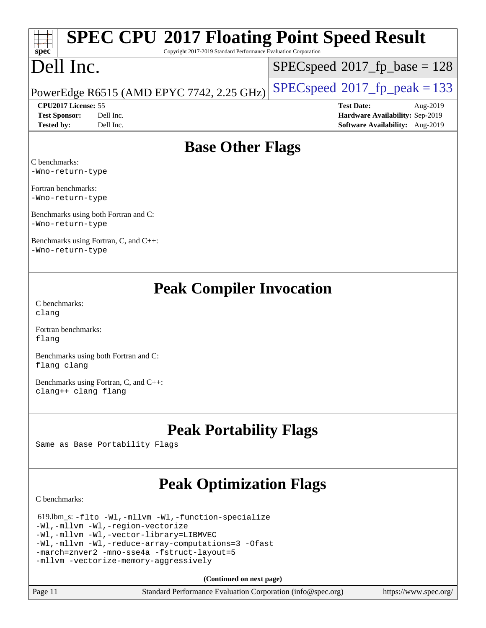Copyright 2017-2019 Standard Performance Evaluation Corporation

### Dell Inc.

**[spec](http://www.spec.org/)**

 $SPEC speed$ <sup>®</sup> $2017$ \_fp\_base = 128

### PowerEdge R6515 (AMD EPYC 7742, 2.25 GHz)  $\left|$  [SPECspeed](http://www.spec.org/auto/cpu2017/Docs/result-fields.html#SPECspeed2017fppeak)<sup>®</sup>[2017\\_fp\\_peak = 1](http://www.spec.org/auto/cpu2017/Docs/result-fields.html#SPECspeed2017fppeak)33

**[Tested by:](http://www.spec.org/auto/cpu2017/Docs/result-fields.html#Testedby)** Dell Inc. **[Software Availability:](http://www.spec.org/auto/cpu2017/Docs/result-fields.html#SoftwareAvailability)** Aug-2019

**[CPU2017 License:](http://www.spec.org/auto/cpu2017/Docs/result-fields.html#CPU2017License)** 55 **[Test Date:](http://www.spec.org/auto/cpu2017/Docs/result-fields.html#TestDate)** Aug-2019 **[Test Sponsor:](http://www.spec.org/auto/cpu2017/Docs/result-fields.html#TestSponsor)** Dell Inc. **[Hardware Availability:](http://www.spec.org/auto/cpu2017/Docs/result-fields.html#HardwareAvailability)** Sep-2019

### **[Base Other Flags](http://www.spec.org/auto/cpu2017/Docs/result-fields.html#BaseOtherFlags)**

[C benchmarks:](http://www.spec.org/auto/cpu2017/Docs/result-fields.html#Cbenchmarks) [-Wno-return-type](http://www.spec.org/cpu2017/results/res2019q3/cpu2017-20190831-17274.flags.html#user_CCbase_F-Waocc-no-return-type)

[Fortran benchmarks](http://www.spec.org/auto/cpu2017/Docs/result-fields.html#Fortranbenchmarks): [-Wno-return-type](http://www.spec.org/cpu2017/results/res2019q3/cpu2017-20190831-17274.flags.html#user_FCbase_F-Waocc-no-return-type)

[Benchmarks using both Fortran and C:](http://www.spec.org/auto/cpu2017/Docs/result-fields.html#BenchmarksusingbothFortranandC) [-Wno-return-type](http://www.spec.org/cpu2017/results/res2019q3/cpu2017-20190831-17274.flags.html#user_CC_FCbase_F-Waocc-no-return-type)

[Benchmarks using Fortran, C, and C++:](http://www.spec.org/auto/cpu2017/Docs/result-fields.html#BenchmarksusingFortranCandCXX) [-Wno-return-type](http://www.spec.org/cpu2017/results/res2019q3/cpu2017-20190831-17274.flags.html#user_CC_CXX_FCbase_F-Waocc-no-return-type)

### **[Peak Compiler Invocation](http://www.spec.org/auto/cpu2017/Docs/result-fields.html#PeakCompilerInvocation)**

[C benchmarks](http://www.spec.org/auto/cpu2017/Docs/result-fields.html#Cbenchmarks): [clang](http://www.spec.org/cpu2017/results/res2019q3/cpu2017-20190831-17274.flags.html#user_CCpeak_clang-c)

[Fortran benchmarks](http://www.spec.org/auto/cpu2017/Docs/result-fields.html#Fortranbenchmarks): [flang](http://www.spec.org/cpu2017/results/res2019q3/cpu2017-20190831-17274.flags.html#user_FCpeak_flang)

[Benchmarks using both Fortran and C](http://www.spec.org/auto/cpu2017/Docs/result-fields.html#BenchmarksusingbothFortranandC): [flang](http://www.spec.org/cpu2017/results/res2019q3/cpu2017-20190831-17274.flags.html#user_CC_FCpeak_flang) [clang](http://www.spec.org/cpu2017/results/res2019q3/cpu2017-20190831-17274.flags.html#user_CC_FCpeak_clang-c)

[Benchmarks using Fortran, C, and C++:](http://www.spec.org/auto/cpu2017/Docs/result-fields.html#BenchmarksusingFortranCandCXX) [clang++](http://www.spec.org/cpu2017/results/res2019q3/cpu2017-20190831-17274.flags.html#user_CC_CXX_FCpeak_clang-cpp) [clang](http://www.spec.org/cpu2017/results/res2019q3/cpu2017-20190831-17274.flags.html#user_CC_CXX_FCpeak_clang-c) [flang](http://www.spec.org/cpu2017/results/res2019q3/cpu2017-20190831-17274.flags.html#user_CC_CXX_FCpeak_flang)

### **[Peak Portability Flags](http://www.spec.org/auto/cpu2017/Docs/result-fields.html#PeakPortabilityFlags)**

Same as Base Portability Flags

### **[Peak Optimization Flags](http://www.spec.org/auto/cpu2017/Docs/result-fields.html#PeakOptimizationFlags)**

[C benchmarks](http://www.spec.org/auto/cpu2017/Docs/result-fields.html#Cbenchmarks):

| 619.lbm $s: -f$ lto $-Wl$ , $-mllvm$ $-Wl$ , $-function-specialize$ |  |  |  |  |
|---------------------------------------------------------------------|--|--|--|--|
| -Wl,-mllvm -Wl,-region-vectorize                                    |  |  |  |  |
| -Wl,-mllvm -Wl,-vector-library=LIBMVEC                              |  |  |  |  |
| -Wl,-mllvm -Wl,-reduce-array-computations=3 -Ofast                  |  |  |  |  |
| -march=znver2 -mno-sse4a -fstruct-layout=5                          |  |  |  |  |
| -mllvm -vectorize-memory-aggressively                               |  |  |  |  |

**(Continued on next page)**

| $\vert$ Page 11 | Standard Performance Evaluation Corporation (info@spec.org) | https://www.spec.org/ |
|-----------------|-------------------------------------------------------------|-----------------------|
|-----------------|-------------------------------------------------------------|-----------------------|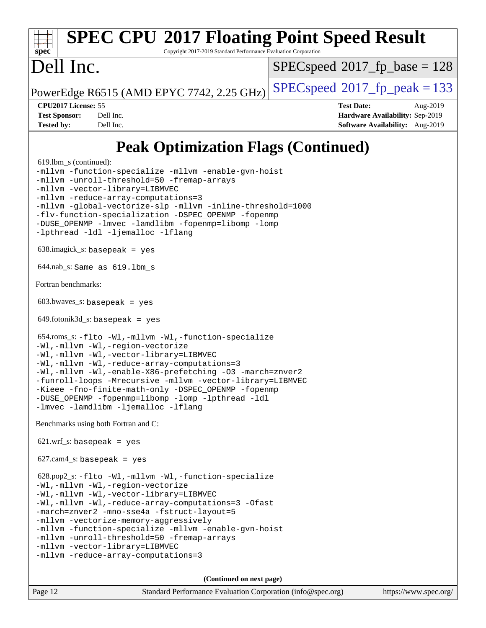Copyright 2017-2019 Standard Performance Evaluation Corporation

### Dell Inc.

[spec](http://www.spec.org/)<sup>®</sup>

[SPECspeed](http://www.spec.org/auto/cpu2017/Docs/result-fields.html#SPECspeed2017fpbase)<sup>®</sup>2017 fp base = 128

PowerEdge R6515 (AMD EPYC 7742, 2.25 GHz)  $\left|$  [SPECspeed](http://www.spec.org/auto/cpu2017/Docs/result-fields.html#SPECspeed2017fppeak)<sup>®</sup>[2017\\_fp\\_peak = 1](http://www.spec.org/auto/cpu2017/Docs/result-fields.html#SPECspeed2017fppeak)33

**[CPU2017 License:](http://www.spec.org/auto/cpu2017/Docs/result-fields.html#CPU2017License)** 55 **[Test Date:](http://www.spec.org/auto/cpu2017/Docs/result-fields.html#TestDate)** Aug-2019 **[Test Sponsor:](http://www.spec.org/auto/cpu2017/Docs/result-fields.html#TestSponsor)** Dell Inc. **[Hardware Availability:](http://www.spec.org/auto/cpu2017/Docs/result-fields.html#HardwareAvailability)** Sep-2019 **[Tested by:](http://www.spec.org/auto/cpu2017/Docs/result-fields.html#Testedby)** Dell Inc. **[Software Availability:](http://www.spec.org/auto/cpu2017/Docs/result-fields.html#SoftwareAvailability)** Aug-2019

### **[Peak Optimization Flags \(Continued\)](http://www.spec.org/auto/cpu2017/Docs/result-fields.html#PeakOptimizationFlags)**

```
 619.lbm_s (continued):
-mllvm -function-specialize -mllvm -enable-gvn-hoist
-mllvm -unroll-threshold=50 -fremap-arrays
-mllvm -vector-library=LIBMVEC
-mllvm -reduce-array-computations=3
-mllvm -global-vectorize-slp -mllvm -inline-threshold=1000
-flv-function-specialization -DSPEC_OPENMP -fopenmp
-DUSE_OPENMP -lmvec -lamdlibm -fopenmp=libomp -lomp
-lpthread -ldl -ljemalloc -lflang
 638.imagick_s: basepeak = yes
 644.nab_s: Same as 619.lbm_s
Fortran benchmarks: 
 603.bwaves_s: basepeak = yes
649.fotonik3d<sub>-</sub>s: basepeak = yes
 654.roms_s: -flto -Wl,-mllvm -Wl,-function-specialize
-Wl,-mllvm -Wl,-region-vectorize
-Wl,-mllvm -Wl,-vector-library=LIBMVEC
-Wl,-mllvm -Wl,-reduce-array-computations=3
-Wl,-mllvm -Wl,-enable-X86-prefetching -O3 -march=znver2
-funroll-loops -Mrecursive -mllvm -vector-library=LIBMVEC
-Kieee -fno-finite-math-only -DSPEC_OPENMP -fopenmp
-DUSE_OPENMP -fopenmp=libomp -lomp -lpthread -ldl
-lmvec -lamdlibm -ljemalloc -lflang
Benchmarks using both Fortran and C: 
621.wrf s: basepeak = yes
627.cam4_s: basepeak = yes
 628.pop2_s: -flto -Wl,-mllvm -Wl,-function-specialize
-Wl,-mllvm -Wl,-region-vectorize
-Wl,-mllvm -Wl,-vector-library=LIBMVEC
-Wl,-mllvm -Wl,-reduce-array-computations=3 -Ofast
-march=znver2 -mno-sse4a -fstruct-layout=5
-mllvm -vectorize-memory-aggressively
-mllvm -function-specialize -mllvm -enable-gvn-hoist
-mllvm -unroll-threshold=50 -fremap-arrays
-mllvm -vector-library=LIBMVEC
-mllvm -reduce-array-computations=3
                                     (Continued on next page)
```
Page 12 Standard Performance Evaluation Corporation [\(info@spec.org\)](mailto:info@spec.org) <https://www.spec.org/>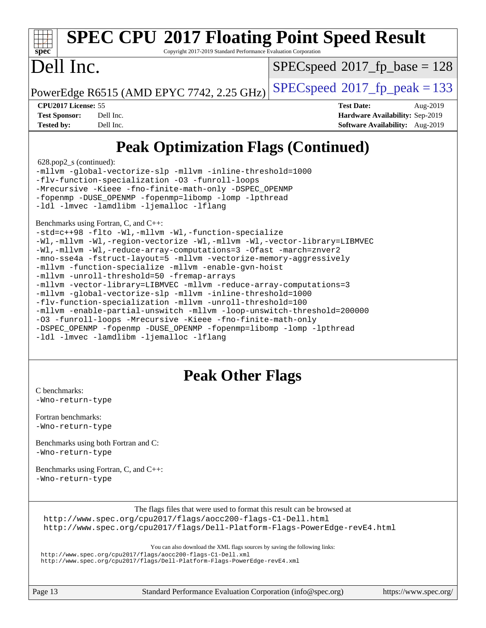Copyright 2017-2019 Standard Performance Evaluation Corporation

# Dell Inc.

**[spec](http://www.spec.org/)**

[SPECspeed](http://www.spec.org/auto/cpu2017/Docs/result-fields.html#SPECspeed2017fpbase)<sup>®</sup>2017 fp base = 128

PowerEdge R6515 (AMD EPYC 7742, 2.25 GHz)  $\left|$  [SPECspeed](http://www.spec.org/auto/cpu2017/Docs/result-fields.html#SPECspeed2017fppeak)®[2017\\_fp\\_peak = 1](http://www.spec.org/auto/cpu2017/Docs/result-fields.html#SPECspeed2017fppeak)33

**[CPU2017 License:](http://www.spec.org/auto/cpu2017/Docs/result-fields.html#CPU2017License)** 55 **[Test Date:](http://www.spec.org/auto/cpu2017/Docs/result-fields.html#TestDate)** Aug-2019 **[Test Sponsor:](http://www.spec.org/auto/cpu2017/Docs/result-fields.html#TestSponsor)** Dell Inc. **[Hardware Availability:](http://www.spec.org/auto/cpu2017/Docs/result-fields.html#HardwareAvailability)** Sep-2019 **[Tested by:](http://www.spec.org/auto/cpu2017/Docs/result-fields.html#Testedby)** Dell Inc. **[Software Availability:](http://www.spec.org/auto/cpu2017/Docs/result-fields.html#SoftwareAvailability)** Aug-2019

### **[Peak Optimization Flags \(Continued\)](http://www.spec.org/auto/cpu2017/Docs/result-fields.html#PeakOptimizationFlags)**

628.pop2\_s (continued):

[-mllvm -global-vectorize-slp](http://www.spec.org/cpu2017/results/res2019q3/cpu2017-20190831-17274.flags.html#user_peakCOPTIMIZE628_pop2_s_F-global-vectorize-slp_a3935e8627af4ced727033b1ffd4db27f4d541a363d28d82bf4c2925fb3a0fd4115d6e42d13a2829f9e024d6608eb67a85cb49770f2da5c5ac8dbc737afad603) [-mllvm -inline-threshold=1000](http://www.spec.org/cpu2017/results/res2019q3/cpu2017-20190831-17274.flags.html#user_peakCOPTIMIZE628_pop2_s_dragonegg-llvm-inline-threshold_b7832241b0a6397e4ecdbaf0eb7defdc10f885c2a282fa3240fdc99844d543fda39cf8a4a9dccf68cf19b5438ac3b455264f478df15da0f4988afa40d8243bab) [-flv-function-specialization](http://www.spec.org/cpu2017/results/res2019q3/cpu2017-20190831-17274.flags.html#user_peakCOPTIMIZE628_pop2_s_F-flv-function-specialization) [-O3](http://www.spec.org/cpu2017/results/res2019q3/cpu2017-20190831-17274.flags.html#user_peakFOPTIMIZE628_pop2_s_F-O3) [-funroll-loops](http://www.spec.org/cpu2017/results/res2019q3/cpu2017-20190831-17274.flags.html#user_peakFOPTIMIZE628_pop2_s_aocc-unroll-loops) [-Mrecursive](http://www.spec.org/cpu2017/results/res2019q3/cpu2017-20190831-17274.flags.html#user_peakFOPTIMIZE628_pop2_s_F-mrecursive_20a145d63f12d5750a899e17d4450b5b8b40330a9bb4af13688ca650e6fb30857bbbe44fb35cdbb895df6e5b2769de0a0d7659f51ff17acfbef6febafec4023f) [-Kieee](http://www.spec.org/cpu2017/results/res2019q3/cpu2017-20190831-17274.flags.html#user_peakEXTRA_FFLAGS628_pop2_s_F-kieee) [-fno-finite-math-only](http://www.spec.org/cpu2017/results/res2019q3/cpu2017-20190831-17274.flags.html#user_peakEXTRA_FFLAGS628_pop2_s_aocc-fno-finite-math-only) [-DSPEC\\_OPENMP](http://www.spec.org/cpu2017/results/res2019q3/cpu2017-20190831-17274.flags.html#suite_peakEXTRA_OPTIMIZE628_pop2_s_DSPEC_OPENMP) [-fopenmp](http://www.spec.org/cpu2017/results/res2019q3/cpu2017-20190831-17274.flags.html#user_peakEXTRA_OPTIMIZE628_pop2_s_aocc-fopenmp) [-DUSE\\_OPENMP](http://www.spec.org/cpu2017/results/res2019q3/cpu2017-20190831-17274.flags.html#user_peakEXTRA_OPTIMIZE628_pop2_s_F-DUSE_OPENMP) [-fopenmp=libomp](http://www.spec.org/cpu2017/results/res2019q3/cpu2017-20190831-17274.flags.html#user_peakEXTRA_LIBS628_pop2_s_aocc-fopenmp_3eb6ab80166bcc84161ff8c20c8d5bc344f88119f45620444596454f7d72e99b7a0ceefc2d1b4d190bd07306bbfdfc20f11f5a2dc69c9b03c72239f8406741c3) [-lomp](http://www.spec.org/cpu2017/results/res2019q3/cpu2017-20190831-17274.flags.html#user_peakEXTRA_LIBS628_pop2_s_F-lomp) [-lpthread](http://www.spec.org/cpu2017/results/res2019q3/cpu2017-20190831-17274.flags.html#user_peakEXTRA_LIBS628_pop2_s_F-lpthread) [-ldl](http://www.spec.org/cpu2017/results/res2019q3/cpu2017-20190831-17274.flags.html#user_peakEXTRA_LIBS628_pop2_s_F-ldl) [-lmvec](http://www.spec.org/cpu2017/results/res2019q3/cpu2017-20190831-17274.flags.html#user_peakEXTRA_FLIBSEXTRA_LIBS628_pop2_s_F-lmvec) [-lamdlibm](http://www.spec.org/cpu2017/results/res2019q3/cpu2017-20190831-17274.flags.html#user_peakEXTRA_FLIBSEXTRA_LIBS628_pop2_s_F-lamdlibm) [-ljemalloc](http://www.spec.org/cpu2017/results/res2019q3/cpu2017-20190831-17274.flags.html#user_peakEXTRA_LIBS628_pop2_s_jemalloc-lib) [-lflang](http://www.spec.org/cpu2017/results/res2019q3/cpu2017-20190831-17274.flags.html#user_peakEXTRA_LIBS628_pop2_s_F-lflang)

[Benchmarks using Fortran, C, and C++:](http://www.spec.org/auto/cpu2017/Docs/result-fields.html#BenchmarksusingFortranCandCXX)

[-std=c++98](http://www.spec.org/cpu2017/results/res2019q3/cpu2017-20190831-17274.flags.html#user_CC_CXX_FCpeak_std-cpp) [-flto](http://www.spec.org/cpu2017/results/res2019q3/cpu2017-20190831-17274.flags.html#user_CC_CXX_FCpeak_aocc-flto) [-Wl,-mllvm -Wl,-function-specialize](http://www.spec.org/cpu2017/results/res2019q3/cpu2017-20190831-17274.flags.html#user_CC_CXX_FCpeak_F-function-specialize_7e7e661e57922243ee67c9a1251cb8910e607325179a0ce7f2884e09a6f5d4a5ef0ae4f37e8a2a11c95fc48e931f06dc2b6016f14b511fcb441e048bef1b065a) [-Wl,-mllvm -Wl,-region-vectorize](http://www.spec.org/cpu2017/results/res2019q3/cpu2017-20190831-17274.flags.html#user_CC_CXX_FCpeak_F-region-vectorize_fb6c6b5aa293c88efc6c7c2b52b20755e943585b1fe8658c35afef78727fff56e1a56891413c30e36b8e2a6f9a71126986319243e80eb6110b78b288f533c52b) [-Wl,-mllvm -Wl,-vector-library=LIBMVEC](http://www.spec.org/cpu2017/results/res2019q3/cpu2017-20190831-17274.flags.html#user_CC_CXX_FCpeak_F-use-vector-library_0a14b27fae317f283640384a31f7bfcc2bd4c1d0b5cfc618a3a430800c9b20217b00f61303eff223a3251b4f06ffbc9739dc5296db9d1fbb9ad24a3939d86d66) [-Wl,-mllvm -Wl,-reduce-array-computations=3](http://www.spec.org/cpu2017/results/res2019q3/cpu2017-20190831-17274.flags.html#user_CC_CXX_FCpeak_F-reduce-array-computations_b882aefe7a5dda4e33149f6299762b9a720dace3e498e13756f4c04e5a19edf5315c1f3993de2e61ec41e8c206231f84e05da7040e1bb5d69ba27d10a12507e4) [-Ofast](http://www.spec.org/cpu2017/results/res2019q3/cpu2017-20190831-17274.flags.html#user_CC_CXX_FCpeak_aocc-Ofast) [-march=znver2](http://www.spec.org/cpu2017/results/res2019q3/cpu2017-20190831-17274.flags.html#user_CC_CXX_FCpeak_aocc-march_3e2e19cff2eeef60c5d90b059483627c9ea47eca6d66670dbd53f9185f6439e27eb5e104cf773e9e8ab18c8842ce63e461a3e948d0214bd567ef3ade411bf467) [-mno-sse4a](http://www.spec.org/cpu2017/results/res2019q3/cpu2017-20190831-17274.flags.html#user_CC_CXX_FCpeak_F-mno-sse4a) [-fstruct-layout=5](http://www.spec.org/cpu2017/results/res2019q3/cpu2017-20190831-17274.flags.html#user_CC_CXX_FCpeak_F-struct-layout_0de9d3561e9f54a54e0843cce081bd13a08ab3e9a82696f3346606c2e11360c37113781019b02fa128d9f650e68f1ffd209bab5c3a026c1ad23e4e7f60646b23) [-mllvm -vectorize-memory-aggressively](http://www.spec.org/cpu2017/results/res2019q3/cpu2017-20190831-17274.flags.html#user_CC_CXX_FCpeak_F-vectorize-memory-aggressively_24b72a4417f50ade9e698c5b3bed87ab456cc6fc8ec6439480cb84f36ad6a3975af6e87206dea402e3871a1464ff3d60bc798e0250f330177ba629a260df1857) [-mllvm -function-specialize](http://www.spec.org/cpu2017/results/res2019q3/cpu2017-20190831-17274.flags.html#user_CC_CXX_FCpeak_F-function-specialize_233b3bdba86027f1b094368157e481c5bc59f40286dc25bfadc1858dcd5745c24fd30d5f188710db7fea399bcc9f44a80b3ce3aacc70a8870250c3ae5e1f35b8) [-mllvm -enable-gvn-hoist](http://www.spec.org/cpu2017/results/res2019q3/cpu2017-20190831-17274.flags.html#user_CC_CXX_FCpeak_F-enable-gvn-hoist_e5856354646dd6ca1333a0ad99b817e4cf8932b91b82809fd8fd47ceff7b22a89eba5c98fd3e3fa5200368fd772cec3dd56abc3c8f7b655a71b9f9848dddedd5) [-mllvm -unroll-threshold=50](http://www.spec.org/cpu2017/results/res2019q3/cpu2017-20190831-17274.flags.html#user_CC_CXX_FCpeak_F-unroll-threshold_458874500b2c105d6d5cb4d7a611c40e2b16e9e3d26b355fea72d644c3673b4de4b3932662f0ed3dbec75c491a13da2d2ca81180bd779dc531083ef1e1e549dc) [-fremap-arrays](http://www.spec.org/cpu2017/results/res2019q3/cpu2017-20190831-17274.flags.html#user_CC_CXX_FCpeak_F-fremap-arrays) [-mllvm -vector-library=LIBMVEC](http://www.spec.org/cpu2017/results/res2019q3/cpu2017-20190831-17274.flags.html#user_CC_CXX_FCpeak_F-use-vector-library_e584e20b4f7ec96aa109254b65d8e01d864f3d68580371b9d93ed7c338191d4cfce20c3c864632264effc6bbe4c7c38153d02096a342ee92501c4a53204a7871) [-mllvm -reduce-array-computations=3](http://www.spec.org/cpu2017/results/res2019q3/cpu2017-20190831-17274.flags.html#user_CC_CXX_FCpeak_F-reduce-array-computations_aceadb8604558b566e0e3a0d7a3c1533923dd1fa0889614e16288028922629a28d5695c24d3b3be4306b1e311c54317dfffe3a2e57fbcaabc737a1798de39145) [-mllvm -global-vectorize-slp](http://www.spec.org/cpu2017/results/res2019q3/cpu2017-20190831-17274.flags.html#user_CC_CXX_FCpeak_F-global-vectorize-slp_a3935e8627af4ced727033b1ffd4db27f4d541a363d28d82bf4c2925fb3a0fd4115d6e42d13a2829f9e024d6608eb67a85cb49770f2da5c5ac8dbc737afad603) [-mllvm -inline-threshold=1000](http://www.spec.org/cpu2017/results/res2019q3/cpu2017-20190831-17274.flags.html#user_CC_CXX_FCpeak_dragonegg-llvm-inline-threshold_b7832241b0a6397e4ecdbaf0eb7defdc10f885c2a282fa3240fdc99844d543fda39cf8a4a9dccf68cf19b5438ac3b455264f478df15da0f4988afa40d8243bab) [-flv-function-specialization](http://www.spec.org/cpu2017/results/res2019q3/cpu2017-20190831-17274.flags.html#user_CC_CXX_FCpeak_F-flv-function-specialization) [-mllvm -unroll-threshold=100](http://www.spec.org/cpu2017/results/res2019q3/cpu2017-20190831-17274.flags.html#user_CC_CXX_FCpeak_F-unroll-threshold_2755d0c78138845d361fa1543e3a063fffa198df9b3edf0cfb856bbc88a81e1769b12ac7a550c5d35197be55360db1a3f95a8d1304df999456cabf5120c45168) [-mllvm -enable-partial-unswitch](http://www.spec.org/cpu2017/results/res2019q3/cpu2017-20190831-17274.flags.html#user_CC_CXX_FCpeak_F-enable-partial-unswitch_6e1c33f981d77963b1eaf834973128a7f33ce3f8e27f54689656697a35e89dcc875281e0e6283d043e32f367dcb605ba0e307a92e830f7e326789fa6c61b35d3) [-mllvm -loop-unswitch-threshold=200000](http://www.spec.org/cpu2017/results/res2019q3/cpu2017-20190831-17274.flags.html#user_CC_CXX_FCpeak_F-loop-unswitch-threshold_f9a82ae3270e55b5fbf79d0d96ee93606b73edbbe527d20b18b7bff1a3a146ad50cfc7454c5297978340ae9213029016a7d16221274d672d3f7f42ed25274e1d) [-O3](http://www.spec.org/cpu2017/results/res2019q3/cpu2017-20190831-17274.flags.html#user_CC_CXX_FCpeak_F-O3) [-funroll-loops](http://www.spec.org/cpu2017/results/res2019q3/cpu2017-20190831-17274.flags.html#user_CC_CXX_FCpeak_aocc-unroll-loops) [-Mrecursive](http://www.spec.org/cpu2017/results/res2019q3/cpu2017-20190831-17274.flags.html#user_CC_CXX_FCpeak_F-mrecursive_20a145d63f12d5750a899e17d4450b5b8b40330a9bb4af13688ca650e6fb30857bbbe44fb35cdbb895df6e5b2769de0a0d7659f51ff17acfbef6febafec4023f) [-Kieee](http://www.spec.org/cpu2017/results/res2019q3/cpu2017-20190831-17274.flags.html#user_CC_CXX_FCpeak_F-kieee) [-fno-finite-math-only](http://www.spec.org/cpu2017/results/res2019q3/cpu2017-20190831-17274.flags.html#user_CC_CXX_FCpeak_aocc-fno-finite-math-only) [-DSPEC\\_OPENMP](http://www.spec.org/cpu2017/results/res2019q3/cpu2017-20190831-17274.flags.html#suite_CC_CXX_FCpeak_DSPEC_OPENMP) [-fopenmp](http://www.spec.org/cpu2017/results/res2019q3/cpu2017-20190831-17274.flags.html#user_CC_CXX_FCpeak_aocc-fopenmp) [-DUSE\\_OPENMP](http://www.spec.org/cpu2017/results/res2019q3/cpu2017-20190831-17274.flags.html#user_CC_CXX_FCpeak_F-DUSE_OPENMP) [-fopenmp=libomp](http://www.spec.org/cpu2017/results/res2019q3/cpu2017-20190831-17274.flags.html#user_CC_CXX_FCpeak_aocc-fopenmp_3eb6ab80166bcc84161ff8c20c8d5bc344f88119f45620444596454f7d72e99b7a0ceefc2d1b4d190bd07306bbfdfc20f11f5a2dc69c9b03c72239f8406741c3) [-lomp](http://www.spec.org/cpu2017/results/res2019q3/cpu2017-20190831-17274.flags.html#user_CC_CXX_FCpeak_F-lomp) [-lpthread](http://www.spec.org/cpu2017/results/res2019q3/cpu2017-20190831-17274.flags.html#user_CC_CXX_FCpeak_F-lpthread) [-ldl](http://www.spec.org/cpu2017/results/res2019q3/cpu2017-20190831-17274.flags.html#user_CC_CXX_FCpeak_F-ldl) [-lmvec](http://www.spec.org/cpu2017/results/res2019q3/cpu2017-20190831-17274.flags.html#user_CC_CXX_FCpeak_F-lmvec) [-lamdlibm](http://www.spec.org/cpu2017/results/res2019q3/cpu2017-20190831-17274.flags.html#user_CC_CXX_FCpeak_F-lamdlibm) [-ljemalloc](http://www.spec.org/cpu2017/results/res2019q3/cpu2017-20190831-17274.flags.html#user_CC_CXX_FCpeak_jemalloc-lib) [-lflang](http://www.spec.org/cpu2017/results/res2019q3/cpu2017-20190831-17274.flags.html#user_CC_CXX_FCpeak_F-lflang)

### **[Peak Other Flags](http://www.spec.org/auto/cpu2017/Docs/result-fields.html#PeakOtherFlags)**

[C benchmarks](http://www.spec.org/auto/cpu2017/Docs/result-fields.html#Cbenchmarks): [-Wno-return-type](http://www.spec.org/cpu2017/results/res2019q3/cpu2017-20190831-17274.flags.html#user_CCpeak_F-Waocc-no-return-type)

[Fortran benchmarks](http://www.spec.org/auto/cpu2017/Docs/result-fields.html#Fortranbenchmarks): [-Wno-return-type](http://www.spec.org/cpu2017/results/res2019q3/cpu2017-20190831-17274.flags.html#user_FCpeak_F-Waocc-no-return-type)

[Benchmarks using both Fortran and C](http://www.spec.org/auto/cpu2017/Docs/result-fields.html#BenchmarksusingbothFortranandC): [-Wno-return-type](http://www.spec.org/cpu2017/results/res2019q3/cpu2017-20190831-17274.flags.html#user_CC_FCpeak_F-Waocc-no-return-type)

[Benchmarks using Fortran, C, and C++:](http://www.spec.org/auto/cpu2017/Docs/result-fields.html#BenchmarksusingFortranCandCXX) [-Wno-return-type](http://www.spec.org/cpu2017/results/res2019q3/cpu2017-20190831-17274.flags.html#user_CC_CXX_FCpeak_F-Waocc-no-return-type)

[The flags files that were used to format this result can be browsed at](tmsearch)

<http://www.spec.org/cpu2017/flags/aocc200-flags-C1-Dell.html> <http://www.spec.org/cpu2017/flags/Dell-Platform-Flags-PowerEdge-revE4.html>

[You can also download the XML flags sources by saving the following links:](tmsearch)

<http://www.spec.org/cpu2017/flags/aocc200-flags-C1-Dell.xml> <http://www.spec.org/cpu2017/flags/Dell-Platform-Flags-PowerEdge-revE4.xml>

Page 13 Standard Performance Evaluation Corporation [\(info@spec.org\)](mailto:info@spec.org) <https://www.spec.org/>